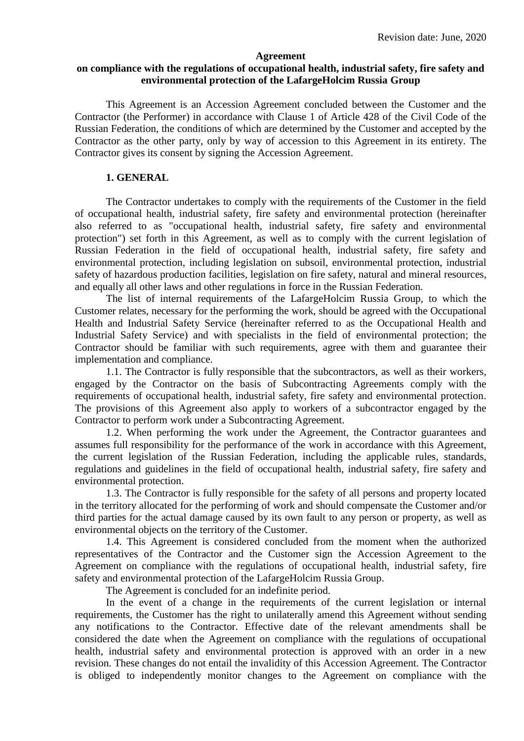#### **Agreement**

## **on compliance with the regulations of occupational health, industrial safety, fire safety and environmental protection of the LafargeHolcim Russia Group**

This Agreement is an Accession Agreement concluded between the Customer and the Contractor (the Performer) in accordance with Clause 1 of Article 428 of the Civil Code of the Russian Federation, the conditions of which are determined by the Customer and accepted by the Contractor as the other party, only by way of accession to this Agreement in its entirety. The Contractor gives its consent by signing the Accession Agreement.

#### **1. GENERAL**

The Contractor undertakes to comply with the requirements of the Customer in the field of occupational health, industrial safety, fire safety and environmental protection (hereinafter also referred to as "occupational health, industrial safety, fire safety and environmental protection") set forth in this Agreement, as well as to comply with the current legislation of Russian Federation in the field of occupational health, industrial safety, fire safety and environmental protection, including legislation on subsoil, environmental protection, industrial safety of hazardous production facilities, legislation on fire safety, natural and mineral resources, and equally all other laws and other regulations in force in the Russian Federation.

The list of internal requirements of the LafargeHolcim Russia Group, to which the Customer relates, necessary for the performing the work, should be agreed with the Occupational Health and Industrial Safety Service (hereinafter referred to as the Occupational Health and Industrial Safety Service) and with specialists in the field of environmental protection; the Contractor should be familiar with such requirements, agree with them and guarantee their implementation and compliance.

1.1. The Contractor is fully responsible that the subcontractors, as well as their workers, engaged by the Contractor on the basis of Subcontracting Agreements comply with the requirements of occupational health, industrial safety, fire safety and environmental protection. The provisions of this Agreement also apply to workers of a subcontractor engaged by the Contractor to perform work under a Subcontracting Agreement.

1.2. When performing the work under the Agreement, the Contractor guarantees and assumes full responsibility for the performance of the work in accordance with this Agreement, the current legislation of the Russian Federation, including the applicable rules, standards, regulations and guidelines in the field of occupational health, industrial safety, fire safety and environmental protection.

1.3. The Contractor is fully responsible for the safety of all persons and property located in the territory allocated for the performing of work and should compensate the Customer and/or third parties for the actual damage caused by its own fault to any person or property, as well as environmental objects on the territory of the Customer.

1.4. This Agreement is considered concluded from the moment when the authorized representatives of the Contractor and the Customer sign the Accession Agreement to the Agreement on compliance with the regulations of occupational health, industrial safety, fire safety and environmental protection of the LafargeHolcim Russia Group.

The Agreement is concluded for an indefinite period.

In the event of a change in the requirements of the current legislation or internal requirements, the Customer has the right to unilaterally amend this Agreement without sending any notifications to the Contractor. Effective date of the relevant amendments shall be considered the date when the Agreement on compliance with the regulations of occupational health, industrial safety and environmental protection is approved with an order in a new revision. These changes do not entail the invalidity of this Accession Agreement. The Contractor is obliged to independently monitor changes to the Agreement on compliance with the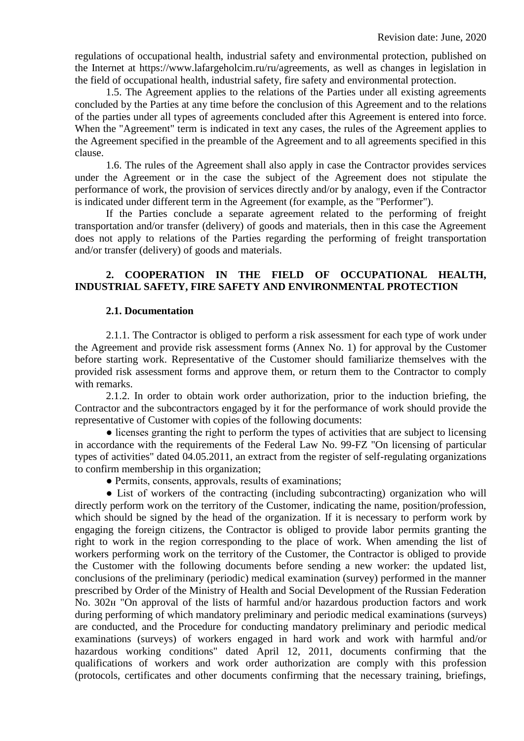regulations of occupational health, industrial safety and environmental protection, published on the Internet at https://www.lafargeholcim.ru/ru/agreements, as well as changes in legislation in the field of occupational health, industrial safety, fire safety and environmental protection.

1.5. The Agreement applies to the relations of the Parties under all existing agreements concluded by the Parties at any time before the conclusion of this Agreement and to the relations of the parties under all types of agreements concluded after this Agreement is entered into force. When the "Agreement" term is indicated in text any cases, the rules of the Agreement applies to the Agreement specified in the preamble of the Agreement and to all agreements specified in this clause.

1.6. The rules of the Agreement shall also apply in case the Contractor provides services under the Agreement or in the case the subject of the Agreement does not stipulate the performance of work, the provision of services directly and/or by analogy, even if the Contractor is indicated under different term in the Agreement (for example, as the "Performer").

If the Parties conclude a separate agreement related to the performing of freight transportation and/or transfer (delivery) of goods and materials, then in this case the Agreement does not apply to relations of the Parties regarding the performing of freight transportation and/or transfer (delivery) of goods and materials.

## **2. COOPERATION IN THE FIELD OF OCCUPATIONAL HEALTH, INDUSTRIAL SAFETY, FIRE SAFETY AND ENVIRONMENTAL PROTECTION**

#### **2.1. Documentation**

2.1.1. The Contractor is obliged to perform a risk assessment for each type of work under the Agreement and provide risk assessment forms (Annex No. 1) for approval by the Customer before starting work. Representative of the Customer should familiarize themselves with the provided risk assessment forms and approve them, or return them to the Contractor to comply with remarks.

2.1.2. In order to obtain work order authorization, prior to the induction briefing, the Contractor and the subcontractors engaged by it for the performance of work should provide the representative of Customer with copies of the following documents:

• licenses granting the right to perform the types of activities that are subject to licensing in accordance with the requirements of the Federal Law No. 99-FZ "On licensing of particular types of activities" dated 04.05.2011, an extract from the register of self-regulating organizations to confirm membership in this organization;

● Permits, consents, approvals, results of examinations;

• List of workers of the contracting (including subcontracting) organization who will directly perform work on the territory of the Customer, indicating the name, position/profession, which should be signed by the head of the organization. If it is necessary to perform work by engaging the foreign citizens, the Contractor is obliged to provide labor permits granting the right to work in the region corresponding to the place of work. When amending the list of workers performing work on the territory of the Customer, the Contractor is obliged to provide the Customer with the following documents before sending a new worker: the updated list, conclusions of the preliminary (periodic) medical examination (survey) performed in the manner prescribed by Order of the Ministry of Health and Social Development of the Russian Federation No. 302н "On approval of the lists of harmful and/or hazardous production factors and work during performing of which mandatory preliminary and periodic medical examinations (surveys) are conducted, and the Procedure for conducting mandatory preliminary and periodic medical examinations (surveys) of workers engaged in hard work and work with harmful and/or hazardous working conditions" dated April 12, 2011, documents confirming that the qualifications of workers and work order authorization are comply with this profession (protocols, certificates and other documents confirming that the necessary training, briefings,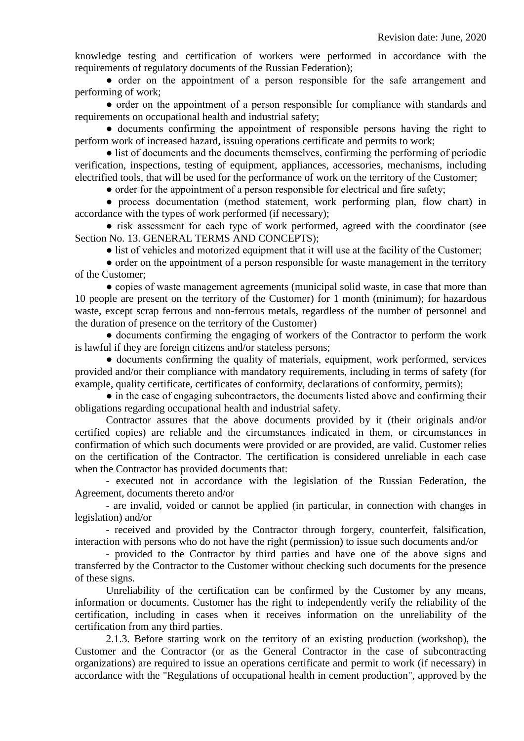knowledge testing and certification of workers were performed in accordance with the requirements of regulatory documents of the Russian Federation);

● order on the appointment of a person responsible for the safe arrangement and performing of work;

● order on the appointment of a person responsible for compliance with standards and requirements on occupational health and industrial safety;

● documents confirming the appointment of responsible persons having the right to perform work of increased hazard, issuing operations certificate and permits to work;

• list of documents and the documents themselves, confirming the performing of periodic verification, inspections, testing of equipment, appliances, accessories, mechanisms, including electrified tools, that will be used for the performance of work on the territory of the Customer;

• order for the appointment of a person responsible for electrical and fire safety;

● process documentation (method statement, work performing plan, flow chart) in accordance with the types of work performed (if necessary);

• risk assessment for each type of work performed, agreed with the coordinator (see Section No. 13. GENERAL TERMS AND CONCEPTS);

• list of vehicles and motorized equipment that it will use at the facility of the Customer;

• order on the appointment of a person responsible for waste management in the territory of the Customer;

● copies of waste management agreements (municipal solid waste, in case that more than 10 people are present on the territory of the Customer) for 1 month (minimum); for hazardous waste, except scrap ferrous and non-ferrous metals, regardless of the number of personnel and the duration of presence on the territory of the Customer)

● documents confirming the engaging of workers of the Contractor to perform the work is lawful if they are foreign citizens and/or stateless persons;

• documents confirming the quality of materials, equipment, work performed, services provided and/or their compliance with mandatory requirements, including in terms of safety (for example, quality certificate, certificates of conformity, declarations of conformity, permits);

• in the case of engaging subcontractors, the documents listed above and confirming their obligations regarding occupational health and industrial safety.

Contractor assures that the above documents provided by it (their originals and/or certified copies) are reliable and the circumstances indicated in them, or circumstances in confirmation of which such documents were provided or are provided, are valid. Customer relies on the certification of the Contractor. The certification is considered unreliable in each case when the Contractor has provided documents that:

- executed not in accordance with the legislation of the Russian Federation, the Agreement, documents thereto and/or

- are invalid, voided or cannot be applied (in particular, in connection with changes in legislation) and/or

- received and provided by the Contractor through forgery, counterfeit, falsification, interaction with persons who do not have the right (permission) to issue such documents and/or

- provided to the Contractor by third parties and have one of the above signs and transferred by the Contractor to the Customer without checking such documents for the presence of these signs.

Unreliability of the certification can be confirmed by the Customer by any means, information or documents. Customer has the right to independently verify the reliability of the certification, including in cases when it receives information on the unreliability of the certification from any third parties.

2.1.3. Before starting work on the territory of an existing production (workshop), the Customer and the Contractor (or as the General Contractor in the case of subcontracting organizations) are required to issue an operations certificate and permit to work (if necessary) in accordance with the "Regulations of occupational health in cement production", approved by the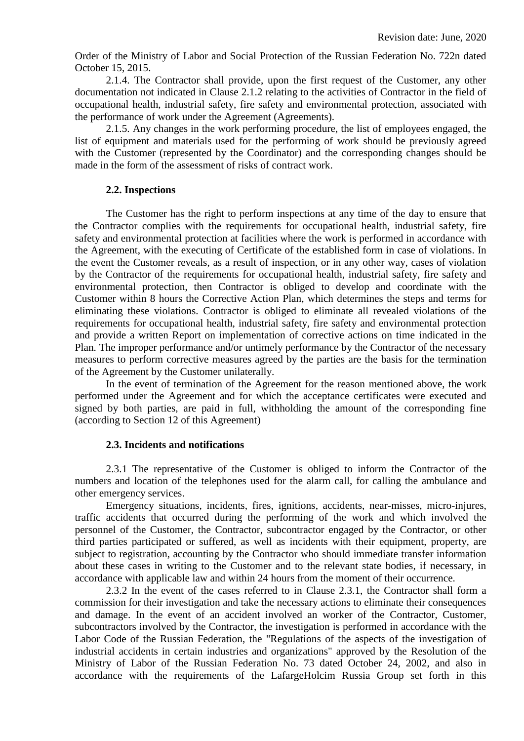Order of the Ministry of Labor and Social Protection of the Russian Federation No. 722n dated October 15, 2015.

2.1.4. The Contractor shall provide, upon the first request of the Customer, any other documentation not indicated in Clause 2.1.2 relating to the activities of Contractor in the field of occupational health, industrial safety, fire safety and environmental protection, associated with the performance of work under the Agreement (Agreements).

2.1.5. Any changes in the work performing procedure, the list of employees engaged, the list of equipment and materials used for the performing of work should be previously agreed with the Customer (represented by the Coordinator) and the corresponding changes should be made in the form of the assessment of risks of contract work.

## **2.2. Inspections**

The Customer has the right to perform inspections at any time of the day to ensure that the Contractor complies with the requirements for occupational health, industrial safety, fire safety and environmental protection at facilities where the work is performed in accordance with the Agreement, with the executing of Certificate of the established form in case of violations. In the event the Customer reveals, as a result of inspection, or in any other way, cases of violation by the Contractor of the requirements for occupational health, industrial safety, fire safety and environmental protection, then Contractor is obliged to develop and coordinate with the Customer within 8 hours the Corrective Action Plan, which determines the steps and terms for eliminating these violations. Contractor is obliged to eliminate all revealed violations of the requirements for occupational health, industrial safety, fire safety and environmental protection and provide a written Report on implementation of corrective actions on time indicated in the Plan. The improper performance and/or untimely performance by the Contractor of the necessary measures to perform corrective measures agreed by the parties are the basis for the termination of the Agreement by the Customer unilaterally.

In the event of termination of the Agreement for the reason mentioned above, the work performed under the Agreement and for which the acceptance certificates were executed and signed by both parties, are paid in full, withholding the amount of the corresponding fine (according to Section 12 of this Agreement)

## **2.3. Incidents and notifications**

2.3.1 The representative of the Customer is obliged to inform the Contractor of the numbers and location of the telephones used for the alarm call, for calling the ambulance and other emergency services.

Emergency situations, incidents, fires, ignitions, accidents, near-misses, micro-injures, traffic accidents that occurred during the performing of the work and which involved the personnel of the Customer, the Contractor, subcontractor engaged by the Contractor, or other third parties participated or suffered, as well as incidents with their equipment, property, are subject to registration, accounting by the Contractor who should immediate transfer information about these cases in writing to the Customer and to the relevant state bodies, if necessary, in accordance with applicable law and within 24 hours from the moment of their occurrence.

2.3.2 In the event of the cases referred to in Clause 2.3.1, the Contractor shall form a commission for their investigation and take the necessary actions to eliminate their consequences and damage. In the event of an accident involved an worker of the Contractor, Customer, subcontractors involved by the Contractor, the investigation is performed in accordance with the Labor Code of the Russian Federation, the "Regulations of the aspects of the investigation of industrial accidents in certain industries and organizations" approved by the Resolution of the Ministry of Labor of the Russian Federation No. 73 dated October 24, 2002, and also in accordance with the requirements of the LafargeHolcim Russia Group set forth in this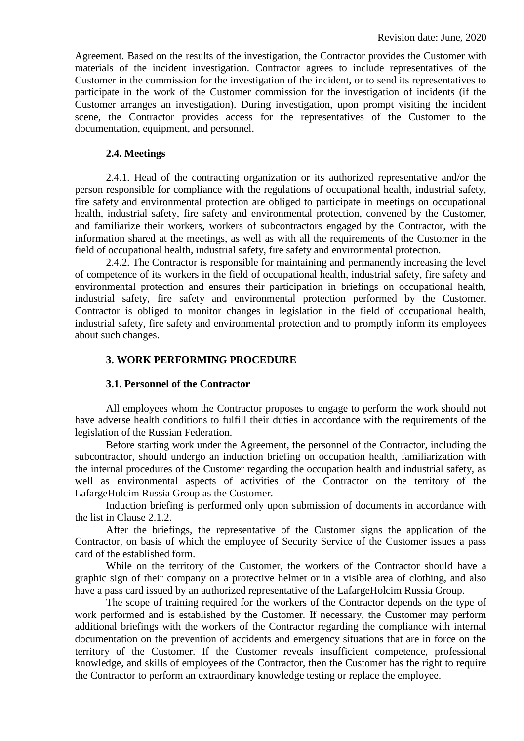Agreement. Based on the results of the investigation, the Contractor provides the Customer with materials of the incident investigation. Contractor agrees to include representatives of the Customer in the commission for the investigation of the incident, or to send its representatives to participate in the work of the Customer commission for the investigation of incidents (if the Customer arranges an investigation). During investigation, upon prompt visiting the incident scene, the Contractor provides access for the representatives of the Customer to the documentation, equipment, and personnel.

#### **2.4. Meetings**

2.4.1. Head of the contracting organization or its authorized representative and/or the person responsible for compliance with the regulations of occupational health, industrial safety, fire safety and environmental protection are obliged to participate in meetings on occupational health, industrial safety, fire safety and environmental protection, convened by the Customer, and familiarize their workers, workers of subcontractors engaged by the Contractor, with the information shared at the meetings, as well as with all the requirements of the Customer in the field of occupational health, industrial safety, fire safety and environmental protection.

2.4.2. The Contractor is responsible for maintaining and permanently increasing the level of competence of its workers in the field of occupational health, industrial safety, fire safety and environmental protection and ensures their participation in briefings on occupational health, industrial safety, fire safety and environmental protection performed by the Customer. Contractor is obliged to monitor changes in legislation in the field of occupational health, industrial safety, fire safety and environmental protection and to promptly inform its employees about such changes.

#### **3. WORK PERFORMING PROCEDURE**

#### **3.1. Personnel of the Contractor**

All employees whom the Contractor proposes to engage to perform the work should not have adverse health conditions to fulfill their duties in accordance with the requirements of the legislation of the Russian Federation.

Before starting work under the Agreement, the personnel of the Contractor, including the subcontractor, should undergo an induction briefing on occupation health, familiarization with the internal procedures of the Customer regarding the occupation health and industrial safety, as well as environmental aspects of activities of the Contractor on the territory of the LafargeHolcim Russia Group as the Customer.

Induction briefing is performed only upon submission of documents in accordance with the list in Clause 2.1.2.

After the briefings, the representative of the Customer signs the application of the Contractor, on basis of which the employee of Security Service of the Customer issues a pass card of the established form.

While on the territory of the Customer, the workers of the Contractor should have a graphic sign of their company on a protective helmet or in a visible area of clothing, and also have a pass card issued by an authorized representative of the LafargeHolcim Russia Group.

The scope of training required for the workers of the Contractor depends on the type of work performed and is established by the Customer. If necessary, the Customer may perform additional briefings with the workers of the Contractor regarding the compliance with internal documentation on the prevention of accidents and emergency situations that are in force on the territory of the Customer. If the Customer reveals insufficient competence, professional knowledge, and skills of employees of the Contractor, then the Customer has the right to require the Contractor to perform an extraordinary knowledge testing or replace the employee.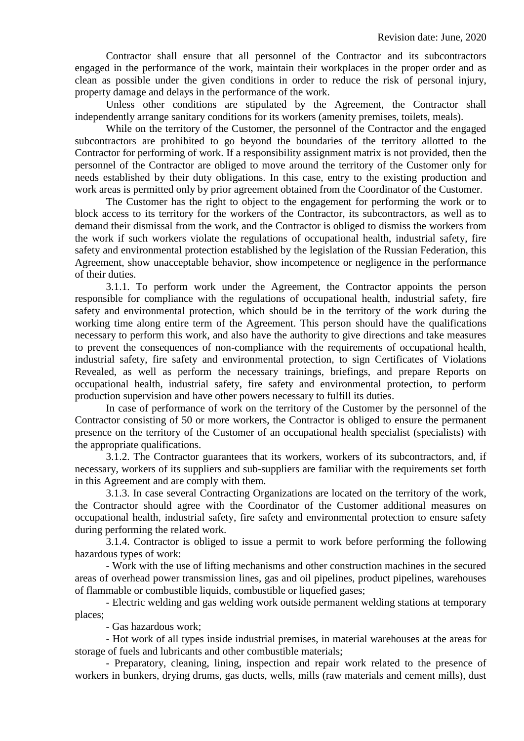Contractor shall ensure that all personnel of the Contractor and its subcontractors engaged in the performance of the work, maintain their workplaces in the proper order and as clean as possible under the given conditions in order to reduce the risk of personal injury, property damage and delays in the performance of the work.

Unless other conditions are stipulated by the Agreement, the Contractor shall independently arrange sanitary conditions for its workers (amenity premises, toilets, meals).

While on the territory of the Customer, the personnel of the Contractor and the engaged subcontractors are prohibited to go beyond the boundaries of the territory allotted to the Contractor for performing of work. If a responsibility assignment matrix is not provided, then the personnel of the Contractor are obliged to move around the territory of the Customer only for needs established by their duty obligations. In this case, entry to the existing production and work areas is permitted only by prior agreement obtained from the Coordinator of the Customer.

The Customer has the right to object to the engagement for performing the work or to block access to its territory for the workers of the Contractor, its subcontractors, as well as to demand their dismissal from the work, and the Contractor is obliged to dismiss the workers from the work if such workers violate the regulations of occupational health, industrial safety, fire safety and environmental protection established by the legislation of the Russian Federation, this Agreement, show unacceptable behavior, show incompetence or negligence in the performance of their duties.

3.1.1. To perform work under the Agreement, the Contractor appoints the person responsible for compliance with the regulations of occupational health, industrial safety, fire safety and environmental protection, which should be in the territory of the work during the working time along entire term of the Agreement. This person should have the qualifications necessary to perform this work, and also have the authority to give directions and take measures to prevent the consequences of non-compliance with the requirements of occupational health, industrial safety, fire safety and environmental protection, to sign Certificates of Violations Revealed, as well as perform the necessary trainings, briefings, and prepare Reports on occupational health, industrial safety, fire safety and environmental protection, to perform production supervision and have other powers necessary to fulfill its duties.

In case of performance of work on the territory of the Customer by the personnel of the Contractor consisting of 50 or more workers, the Contractor is obliged to ensure the permanent presence on the territory of the Customer of an occupational health specialist (specialists) with the appropriate qualifications.

3.1.2. The Contractor guarantees that its workers, workers of its subcontractors, and, if necessary, workers of its suppliers and sub-suppliers are familiar with the requirements set forth in this Agreement and are comply with them.

3.1.3. In case several Contracting Organizations are located on the territory of the work, the Contractor should agree with the Coordinator of the Customer additional measures on occupational health, industrial safety, fire safety and environmental protection to ensure safety during performing the related work.

3.1.4. Contractor is obliged to issue a permit to work before performing the following hazardous types of work:

- Work with the use of lifting mechanisms and other construction machines in the secured areas of overhead power transmission lines, gas and oil pipelines, product pipelines, warehouses of flammable or combustible liquids, combustible or liquefied gases;

- Electric welding and gas welding work outside permanent welding stations at temporary places;

- Gas hazardous work;

- Hot work of all types inside industrial premises, in material warehouses at the areas for storage of fuels and lubricants and other combustible materials;

- Preparatory, cleaning, lining, inspection and repair work related to the presence of workers in bunkers, drying drums, gas ducts, wells, mills (raw materials and cement mills), dust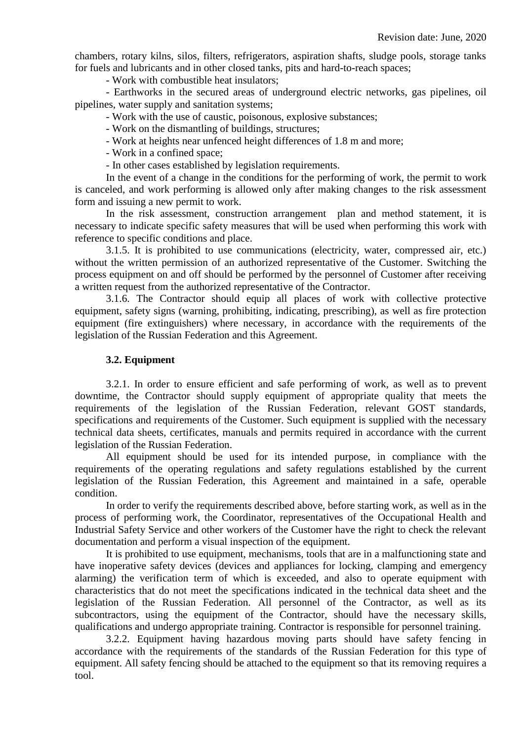chambers, rotary kilns, silos, filters, refrigerators, aspiration shafts, sludge pools, storage tanks for fuels and lubricants and in other closed tanks, pits and hard-to-reach spaces;

- Work with combustible heat insulators;

- Earthworks in the secured areas of underground electric networks, gas pipelines, oil pipelines, water supply and sanitation systems;

- Work with the use of caustic, poisonous, explosive substances;

- Work on the dismantling of buildings, structures;

- Work at heights near unfenced height differences of 1.8 m and more;

- Work in a confined space;

- In other cases established by legislation requirements.

In the event of a change in the conditions for the performing of work, the permit to work is canceled, and work performing is allowed only after making changes to the risk assessment form and issuing a new permit to work.

In the risk assessment, construction arrangement plan and method statement, it is necessary to indicate specific safety measures that will be used when performing this work with reference to specific conditions and place.

3.1.5. It is prohibited to use communications (electricity, water, compressed air, etc.) without the written permission of an authorized representative of the Customer. Switching the process equipment on and off should be performed by the personnel of Customer after receiving a written request from the authorized representative of the Contractor.

3.1.6. The Contractor should equip all places of work with collective protective equipment, safety signs (warning, prohibiting, indicating, prescribing), as well as fire protection equipment (fire extinguishers) where necessary, in accordance with the requirements of the legislation of the Russian Federation and this Agreement.

## **3.2. Equipment**

3.2.1. In order to ensure efficient and safe performing of work, as well as to prevent downtime, the Contractor should supply equipment of appropriate quality that meets the requirements of the legislation of the Russian Federation, relevant GOST standards, specifications and requirements of the Customer. Such equipment is supplied with the necessary technical data sheets, certificates, manuals and permits required in accordance with the current legislation of the Russian Federation.

All equipment should be used for its intended purpose, in compliance with the requirements of the operating regulations and safety regulations established by the current legislation of the Russian Federation, this Agreement and maintained in a safe, operable condition.

In order to verify the requirements described above, before starting work, as well as in the process of performing work, the Coordinator, representatives of the Occupational Health and Industrial Safety Service and other workers of the Customer have the right to check the relevant documentation and perform a visual inspection of the equipment.

It is prohibited to use equipment, mechanisms, tools that are in a malfunctioning state and have inoperative safety devices (devices and appliances for locking, clamping and emergency alarming) the verification term of which is exceeded, and also to operate equipment with characteristics that do not meet the specifications indicated in the technical data sheet and the legislation of the Russian Federation. All personnel of the Contractor, as well as its subcontractors, using the equipment of the Contractor, should have the necessary skills, qualifications and undergo appropriate training. Contractor is responsible for personnel training.

3.2.2. Equipment having hazardous moving parts should have safety fencing in accordance with the requirements of the standards of the Russian Federation for this type of equipment. All safety fencing should be attached to the equipment so that its removing requires a tool.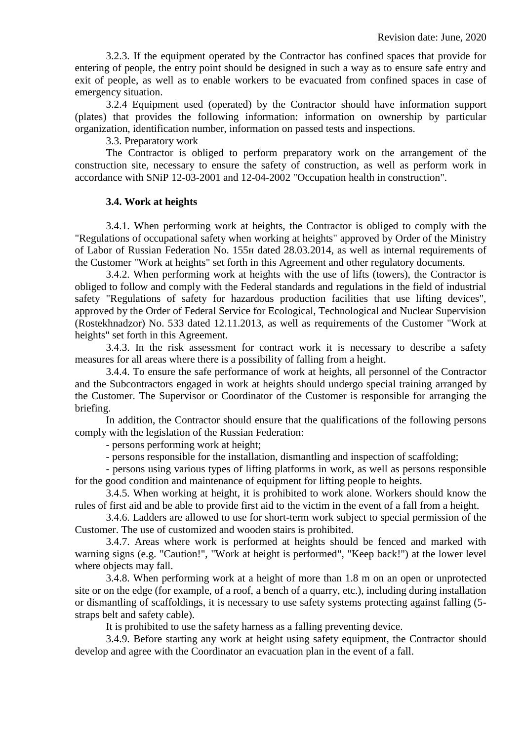3.2.3. If the equipment operated by the Contractor has confined spaces that provide for entering of people, the entry point should be designed in such a way as to ensure safe entry and exit of people, as well as to enable workers to be evacuated from confined spaces in case of emergency situation.

3.2.4 Equipment used (operated) by the Contractor should have information support (plates) that provides the following information: information on ownership by particular organization, identification number, information on passed tests and inspections.

3.3. Preparatory work

The Contractor is obliged to perform preparatory work on the arrangement of the construction site, necessary to ensure the safety of construction, as well as perform work in accordance with SNiP 12-03-2001 and 12-04-2002 "Occupation health in construction".

#### **3.4. Work at heights**

3.4.1. When performing work at heights, the Contractor is obliged to comply with the "Regulations of occupational safety when working at heights" approved by Order of the Ministry of Labor of Russian Federation No. 155н dated 28.03.2014, as well as internal requirements of the Customer "Work at heights" set forth in this Agreement and other regulatory documents.

3.4.2. When performing work at heights with the use of lifts (towers), the Contractor is obliged to follow and comply with the Federal standards and regulations in the field of industrial safety "Regulations of safety for hazardous production facilities that use lifting devices", approved by the Order of Federal Service for Ecological, Technological and Nuclear Supervision (Rostekhnadzor) No. 533 dated 12.11.2013, as well as requirements of the Customer "Work at heights" set forth in this Agreement.

3.4.3. In the risk assessment for contract work it is necessary to describe a safety measures for all areas where there is a possibility of falling from a height.

3.4.4. To ensure the safe performance of work at heights, all personnel of the Contractor and the Subcontractors engaged in work at heights should undergo special training arranged by the Customer. The Supervisor or Coordinator of the Customer is responsible for arranging the briefing.

In addition, the Contractor should ensure that the qualifications of the following persons comply with the legislation of the Russian Federation:

- persons performing work at height;

- persons responsible for the installation, dismantling and inspection of scaffolding;

- persons using various types of lifting platforms in work, as well as persons responsible for the good condition and maintenance of equipment for lifting people to heights.

3.4.5. When working at height, it is prohibited to work alone. Workers should know the rules of first aid and be able to provide first aid to the victim in the event of a fall from a height.

3.4.6. Ladders are allowed to use for short-term work subject to special permission of the Customer. The use of customized and wooden stairs is prohibited.

3.4.7. Areas where work is performed at heights should be fenced and marked with warning signs (e.g. "Caution!", "Work at height is performed", "Keep back!") at the lower level where objects may fall.

3.4.8. When performing work at a height of more than 1.8 m on an open or unprotected site or on the edge (for example, of a roof, a bench of a quarry, etc.), including during installation or dismantling of scaffoldings, it is necessary to use safety systems protecting against falling (5 straps belt and safety cable).

It is prohibited to use the safety harness as a falling preventing device.

3.4.9. Before starting any work at height using safety equipment, the Contractor should develop and agree with the Coordinator an evacuation plan in the event of a fall.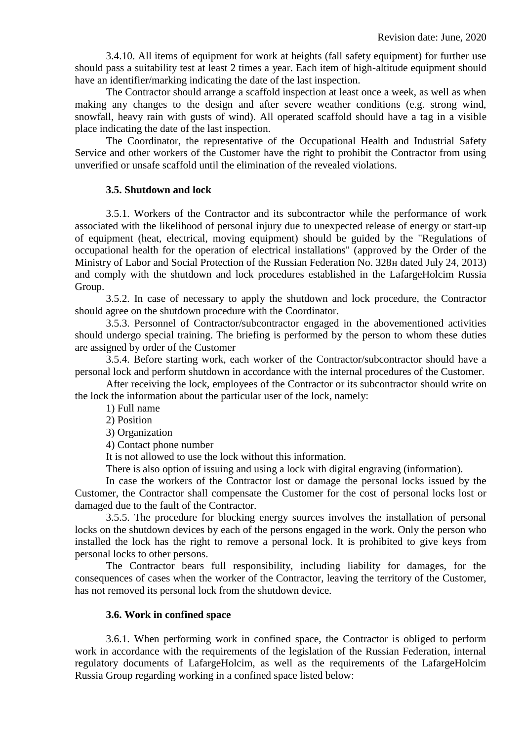3.4.10. All items of equipment for work at heights (fall safety equipment) for further use should pass a suitability test at least 2 times a year. Each item of high-altitude equipment should have an identifier/marking indicating the date of the last inspection.

The Contractor should arrange a scaffold inspection at least once a week, as well as when making any changes to the design and after severe weather conditions (e.g. strong wind, snowfall, heavy rain with gusts of wind). All operated scaffold should have a tag in a visible place indicating the date of the last inspection.

The Coordinator, the representative of the Occupational Health and Industrial Safety Service and other workers of the Customer have the right to prohibit the Contractor from using unverified or unsafe scaffold until the elimination of the revealed violations.

#### **3.5. Shutdown and lock**

3.5.1. Workers of the Contractor and its subcontractor while the performance of work associated with the likelihood of personal injury due to unexpected release of energy or start-up of equipment (heat, electrical, moving equipment) should be guided by the "Regulations of occupational health for the operation of electrical installations" (approved by the Order of the Ministry of Labor and Social Protection of the Russian Federation No. 328н dated July 24, 2013) and comply with the shutdown and lock procedures established in the LafargeHolcim Russia Group.

3.5.2. In case of necessary to apply the shutdown and lock procedure, the Contractor should agree on the shutdown procedure with the Coordinator.

3.5.3. Personnel of Contractor/subcontractor engaged in the abovementioned activities should undergo special training. The briefing is performed by the person to whom these duties are assigned by order of the Customer

3.5.4. Before starting work, each worker of the Contractor/subcontractor should have a personal lock and perform shutdown in accordance with the internal procedures of the Customer.

After receiving the lock, employees of the Contractor or its subcontractor should write on the lock the information about the particular user of the lock, namely:

1) Full name

2) Position

3) Organization

4) Contact phone number

It is not allowed to use the lock without this information.

There is also option of issuing and using a lock with digital engraving (information).

In case the workers of the Contractor lost or damage the personal locks issued by the Customer, the Contractor shall compensate the Customer for the cost of personal locks lost or damaged due to the fault of the Contractor.

3.5.5. The procedure for blocking energy sources involves the installation of personal locks on the shutdown devices by each of the persons engaged in the work. Only the person who installed the lock has the right to remove a personal lock. It is prohibited to give keys from personal locks to other persons.

The Contractor bears full responsibility, including liability for damages, for the consequences of cases when the worker of the Contractor, leaving the territory of the Customer, has not removed its personal lock from the shutdown device.

#### **3.6. Work in confined space**

3.6.1. When performing work in confined space, the Contractor is obliged to perform work in accordance with the requirements of the legislation of the Russian Federation, internal regulatory documents of LafargeHolcim, as well as the requirements of the LafargeHolcim Russia Group regarding working in a confined space listed below: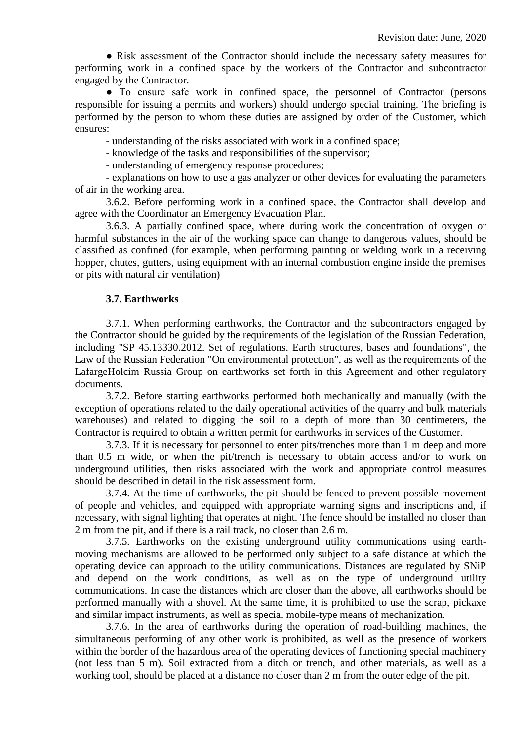● Risk assessment of the Contractor should include the necessary safety measures for performing work in a confined space by the workers of the Contractor and subcontractor engaged by the Contractor.

• To ensure safe work in confined space, the personnel of Contractor (persons responsible for issuing a permits and workers) should undergo special training. The briefing is performed by the person to whom these duties are assigned by order of the Customer, which ensures:

- understanding of the risks associated with work in a confined space;

- knowledge of the tasks and responsibilities of the supervisor;

- understanding of emergency response procedures;

- explanations on how to use a gas analyzer or other devices for evaluating the parameters of air in the working area.

3.6.2. Before performing work in a confined space, the Contractor shall develop and agree with the Coordinator an Emergency Evacuation Plan.

3.6.3. A partially confined space, where during work the concentration of oxygen or harmful substances in the air of the working space can change to dangerous values, should be classified as confined (for example, when performing painting or welding work in a receiving hopper, chutes, gutters, using equipment with an internal combustion engine inside the premises or pits with natural air ventilation)

## **3.7. Earthworks**

3.7.1. When performing earthworks, the Contractor and the subcontractors engaged by the Contractor should be guided by the requirements of the legislation of the Russian Federation, including "SP 45.13330.2012. Set of regulations. Earth structures, bases and foundations", the Law of the Russian Federation "On environmental protection", as well as the requirements of the LafargeHolcim Russia Group on earthworks set forth in this Agreement and other regulatory documents.

3.7.2. Before starting earthworks performed both mechanically and manually (with the exception of operations related to the daily operational activities of the quarry and bulk materials warehouses) and related to digging the soil to a depth of more than 30 centimeters, the Contractor is required to obtain a written permit for earthworks in services of the Customer.

3.7.3. If it is necessary for personnel to enter pits/trenches more than 1 m deep and more than 0.5 m wide, or when the pit/trench is necessary to obtain access and/or to work on underground utilities, then risks associated with the work and appropriate control measures should be described in detail in the risk assessment form.

3.7.4. At the time of earthworks, the pit should be fenced to prevent possible movement of people and vehicles, and equipped with appropriate warning signs and inscriptions and, if necessary, with signal lighting that operates at night. The fence should be installed no closer than 2 m from the pit, and if there is a rail track, no closer than 2.6 m.

3.7.5. Earthworks on the existing underground utility communications using earthmoving mechanisms are allowed to be performed only subject to a safe distance at which the operating device can approach to the utility communications. Distances are regulated by SNiP and depend on the work conditions, as well as on the type of underground utility communications. In case the distances which are closer than the above, all earthworks should be performed manually with a shovel. At the same time, it is prohibited to use the scrap, pickaxe and similar impact instruments, as well as special mobile-type means of mechanization.

3.7.6. In the area of earthworks during the operation of road-building machines, the simultaneous performing of any other work is prohibited, as well as the presence of workers within the border of the hazardous area of the operating devices of functioning special machinery (not less than 5 m). Soil extracted from a ditch or trench, and other materials, as well as a working tool, should be placed at a distance no closer than 2 m from the outer edge of the pit.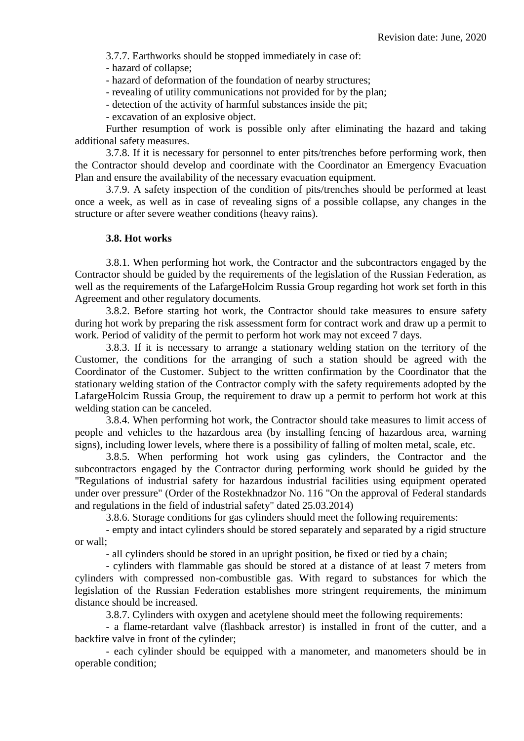3.7.7. Earthworks should be stopped immediately in case of:

- hazard of collapse;

- hazard of deformation of the foundation of nearby structures;

- revealing of utility communications not provided for by the plan;

- detection of the activity of harmful substances inside the pit;

- excavation of an explosive object.

Further resumption of work is possible only after eliminating the hazard and taking additional safety measures.

3.7.8. If it is necessary for personnel to enter pits/trenches before performing work, then the Contractor should develop and coordinate with the Coordinator an Emergency Evacuation Plan and ensure the availability of the necessary evacuation equipment.

3.7.9. A safety inspection of the condition of pits/trenches should be performed at least once a week, as well as in case of revealing signs of a possible collapse, any changes in the structure or after severe weather conditions (heavy rains).

#### **3.8. Hot works**

3.8.1. When performing hot work, the Contractor and the subcontractors engaged by the Contractor should be guided by the requirements of the legislation of the Russian Federation, as well as the requirements of the LafargeHolcim Russia Group regarding hot work set forth in this Agreement and other regulatory documents.

3.8.2. Before starting hot work, the Contractor should take measures to ensure safety during hot work by preparing the risk assessment form for contract work and draw up a permit to work. Period of validity of the permit to perform hot work may not exceed 7 days.

3.8.3. If it is necessary to arrange a stationary welding station on the territory of the Customer, the conditions for the arranging of such a station should be agreed with the Coordinator of the Customer. Subject to the written confirmation by the Coordinator that the stationary welding station of the Contractor comply with the safety requirements adopted by the LafargeHolcim Russia Group, the requirement to draw up a permit to perform hot work at this welding station can be canceled.

3.8.4. When performing hot work, the Contractor should take measures to limit access of people and vehicles to the hazardous area (by installing fencing of hazardous area, warning signs), including lower levels, where there is a possibility of falling of molten metal, scale, etc.

3.8.5. When performing hot work using gas cylinders, the Contractor and the subcontractors engaged by the Contractor during performing work should be guided by the "Regulations of industrial safety for hazardous industrial facilities using equipment operated under over pressure" (Order of the Rostekhnadzor No. 116 "On the approval of Federal standards and regulations in the field of industrial safety" dated 25.03.2014)

3.8.6. Storage conditions for gas cylinders should meet the following requirements:

- empty and intact cylinders should be stored separately and separated by a rigid structure or wall;

- all cylinders should be stored in an upright position, be fixed or tied by a chain;

- cylinders with flammable gas should be stored at a distance of at least 7 meters from cylinders with compressed non-combustible gas. With regard to substances for which the legislation of the Russian Federation establishes more stringent requirements, the minimum distance should be increased.

3.8.7. Cylinders with oxygen and acetylene should meet the following requirements:

- a flame-retardant valve (flashback arrestor) is installed in front of the cutter, and a backfire valve in front of the cylinder;

- each cylinder should be equipped with a manometer, and manometers should be in operable condition;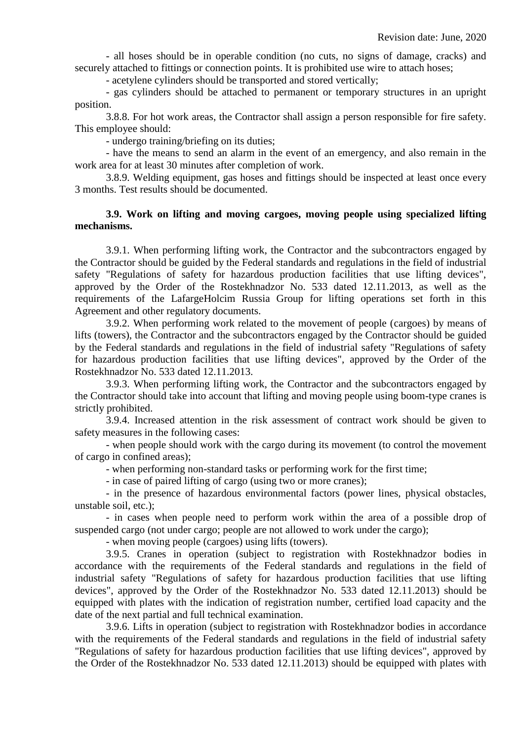- all hoses should be in operable condition (no cuts, no signs of damage, cracks) and securely attached to fittings or connection points. It is prohibited use wire to attach hoses;

- acetylene cylinders should be transported and stored vertically;

- gas cylinders should be attached to permanent or temporary structures in an upright position.

3.8.8. For hot work areas, the Contractor shall assign a person responsible for fire safety. This employee should:

- undergo training/briefing on its duties;

- have the means to send an alarm in the event of an emergency, and also remain in the work area for at least 30 minutes after completion of work.

3.8.9. Welding equipment, gas hoses and fittings should be inspected at least once every 3 months. Test results should be documented.

## **3.9. Work on lifting and moving cargoes, moving people using specialized lifting mechanisms.**

3.9.1. When performing lifting work, the Contractor and the subcontractors engaged by the Contractor should be guided by the Federal standards and regulations in the field of industrial safety "Regulations of safety for hazardous production facilities that use lifting devices", approved by the Order of the Rostekhnadzor No. 533 dated 12.11.2013, as well as the requirements of the LafargeHolcim Russia Group for lifting operations set forth in this Agreement and other regulatory documents.

3.9.2. When performing work related to the movement of people (cargoes) by means of lifts (towers), the Contractor and the subcontractors engaged by the Contractor should be guided by the Federal standards and regulations in the field of industrial safety "Regulations of safety for hazardous production facilities that use lifting devices", approved by the Order of the Rostekhnadzor No. 533 dated 12.11.2013.

3.9.3. When performing lifting work, the Contractor and the subcontractors engaged by the Contractor should take into account that lifting and moving people using boom-type cranes is strictly prohibited.

3.9.4. Increased attention in the risk assessment of contract work should be given to safety measures in the following cases:

- when people should work with the cargo during its movement (to control the movement of cargo in confined areas);

- when performing non-standard tasks or performing work for the first time;

- in case of paired lifting of cargo (using two or more cranes);

- in the presence of hazardous environmental factors (power lines, physical obstacles, unstable soil, etc.);

- in cases when people need to perform work within the area of a possible drop of suspended cargo (not under cargo; people are not allowed to work under the cargo);

- when moving people (cargoes) using lifts (towers).

3.9.5. Cranes in operation (subject to registration with Rostekhnadzor bodies in accordance with the requirements of the Federal standards and regulations in the field of industrial safety "Regulations of safety for hazardous production facilities that use lifting devices", approved by the Order of the Rostekhnadzor No. 533 dated 12.11.2013) should be equipped with plates with the indication of registration number, certified load capacity and the date of the next partial and full technical examination.

3.9.6. Lifts in operation (subject to registration with Rostekhnadzor bodies in accordance with the requirements of the Federal standards and regulations in the field of industrial safety "Regulations of safety for hazardous production facilities that use lifting devices", approved by the Order of the Rostekhnadzor No. 533 dated 12.11.2013) should be equipped with plates with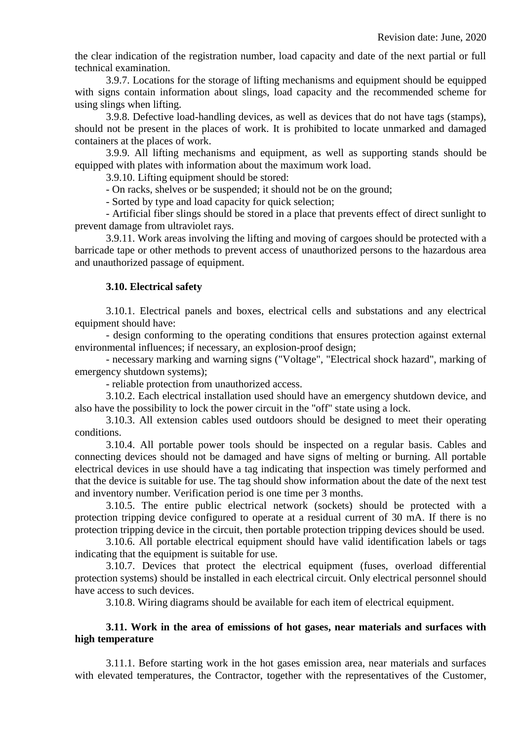the clear indication of the registration number, load capacity and date of the next partial or full technical examination.

3.9.7. Locations for the storage of lifting mechanisms and equipment should be equipped with signs contain information about slings, load capacity and the recommended scheme for using slings when lifting.

3.9.8. Defective load-handling devices, as well as devices that do not have tags (stamps), should not be present in the places of work. It is prohibited to locate unmarked and damaged containers at the places of work.

3.9.9. All lifting mechanisms and equipment, as well as supporting stands should be equipped with plates with information about the maximum work load.

3.9.10. Lifting equipment should be stored:

- On racks, shelves or be suspended; it should not be on the ground;

- Sorted by type and load capacity for quick selection;

- Artificial fiber slings should be stored in a place that prevents effect of direct sunlight to prevent damage from ultraviolet rays.

3.9.11. Work areas involving the lifting and moving of cargoes should be protected with a barricade tape or other methods to prevent access of unauthorized persons to the hazardous area and unauthorized passage of equipment.

## **3.10. Electrical safety**

3.10.1. Electrical panels and boxes, electrical cells and substations and any electrical equipment should have:

- design conforming to the operating conditions that ensures protection against external environmental influences; if necessary, an explosion-proof design;

- necessary marking and warning signs ("Voltage", "Electrical shock hazard", marking of emergency shutdown systems);

- reliable protection from unauthorized access.

3.10.2. Each electrical installation used should have an emergency shutdown device, and also have the possibility to lock the power circuit in the "off" state using a lock.

3.10.3. All extension cables used outdoors should be designed to meet their operating conditions.

3.10.4. All portable power tools should be inspected on a regular basis. Cables and connecting devices should not be damaged and have signs of melting or burning. All portable electrical devices in use should have a tag indicating that inspection was timely performed and that the device is suitable for use. The tag should show information about the date of the next test and inventory number. Verification period is one time per 3 months.

3.10.5. The entire public electrical network (sockets) should be protected with a protection tripping device configured to operate at a residual current of 30 mA. If there is no protection tripping device in the circuit, then portable protection tripping devices should be used.

3.10.6. All portable electrical equipment should have valid identification labels or tags indicating that the equipment is suitable for use.

3.10.7. Devices that protect the electrical equipment (fuses, overload differential protection systems) should be installed in each electrical circuit. Only electrical personnel should have access to such devices.

3.10.8. Wiring diagrams should be available for each item of electrical equipment.

## **3.11. Work in the area of emissions of hot gases, near materials and surfaces with high temperature**

3.11.1. Before starting work in the hot gases emission area, near materials and surfaces with elevated temperatures, the Contractor, together with the representatives of the Customer,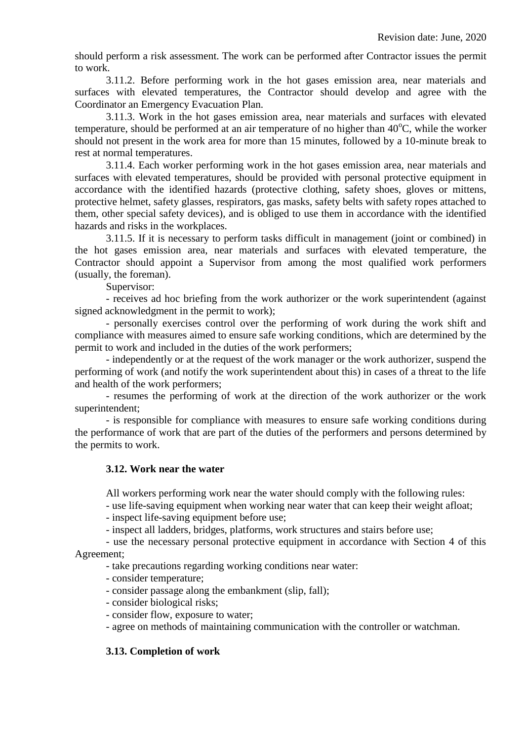should perform a risk assessment. The work can be performed after Contractor issues the permit to work.

3.11.2. Before performing work in the hot gases emission area, near materials and surfaces with elevated temperatures, the Contractor should develop and agree with the Coordinator an Emergency Evacuation Plan.

3.11.3. Work in the hot gases emission area, near materials and surfaces with elevated temperature, should be performed at an air temperature of no higher than  $40^{\circ}$ C, while the worker should not present in the work area for more than 15 minutes, followed by a 10-minute break to rest at normal temperatures.

3.11.4. Each worker performing work in the hot gases emission area, near materials and surfaces with elevated temperatures, should be provided with personal protective equipment in accordance with the identified hazards (protective clothing, safety shoes, gloves or mittens, protective helmet, safety glasses, respirators, gas masks, safety belts with safety ropes attached to them, other special safety devices), and is obliged to use them in accordance with the identified hazards and risks in the workplaces.

3.11.5. If it is necessary to perform tasks difficult in management (joint or combined) in the hot gases emission area, near materials and surfaces with elevated temperature, the Contractor should appoint a Supervisor from among the most qualified work performers (usually, the foreman).

Supervisor:

- receives ad hoc briefing from the work authorizer or the work superintendent (against signed acknowledgment in the permit to work);

- personally exercises control over the performing of work during the work shift and compliance with measures aimed to ensure safe working conditions, which are determined by the permit to work and included in the duties of the work performers;

- independently or at the request of the work manager or the work authorizer, suspend the performing of work (and notify the work superintendent about this) in cases of a threat to the life and health of the work performers;

- resumes the performing of work at the direction of the work authorizer or the work superintendent;

- is responsible for compliance with measures to ensure safe working conditions during the performance of work that are part of the duties of the performers and persons determined by the permits to work.

#### **3.12. Work near the water**

All workers performing work near the water should comply with the following rules:

- use life-saving equipment when working near water that can keep their weight afloat;

- inspect life-saving equipment before use;

- inspect all ladders, bridges, platforms, work structures and stairs before use;

- use the necessary personal protective equipment in accordance with Section 4 of this Agreement;

- take precautions regarding working conditions near water:

- consider temperature;
- consider passage along the embankment (slip, fall);
- consider biological risks;
- consider flow, exposure to water;

- agree on methods of maintaining communication with the controller or watchman.

#### **3.13. Completion of work**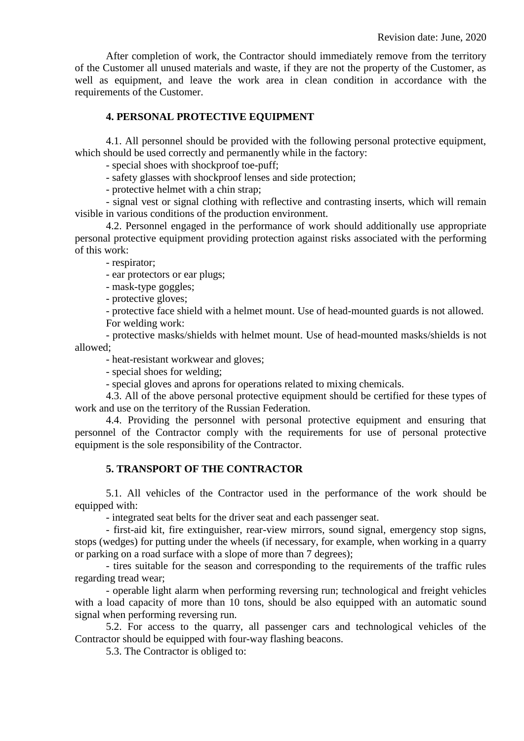After completion of work, the Contractor should immediately remove from the territory of the Customer all unused materials and waste, if they are not the property of the Customer, as well as equipment, and leave the work area in clean condition in accordance with the requirements of the Customer.

## **4. PERSONAL PROTECTIVE EQUIPMENT**

4.1. All personnel should be provided with the following personal protective equipment, which should be used correctly and permanently while in the factory:

- special shoes with shockproof toe-puff;

- safety glasses with shockproof lenses and side protection;

- protective helmet with a chin strap;

- signal vest or signal clothing with reflective and contrasting inserts, which will remain visible in various conditions of the production environment.

4.2. Personnel engaged in the performance of work should additionally use appropriate personal protective equipment providing protection against risks associated with the performing of this work:

- respirator;

- ear protectors or ear plugs;

- mask-type goggles;

- protective gloves;

- protective face shield with a helmet mount. Use of head-mounted guards is not allowed. For welding work:

- protective masks/shields with helmet mount. Use of head-mounted masks/shields is not allowed;

- heat-resistant workwear and gloves;

- special shoes for welding;

- special gloves and aprons for operations related to mixing chemicals.

4.3. All of the above personal protective equipment should be certified for these types of work and use on the territory of the Russian Federation.

4.4. Providing the personnel with personal protective equipment and ensuring that personnel of the Contractor comply with the requirements for use of personal protective equipment is the sole responsibility of the Contractor.

## **5. TRANSPORT OF THE CONTRACTOR**

5.1. All vehicles of the Contractor used in the performance of the work should be equipped with:

- integrated seat belts for the driver seat and each passenger seat.

- first-aid kit, fire extinguisher, rear-view mirrors, sound signal, emergency stop signs, stops (wedges) for putting under the wheels (if necessary, for example, when working in a quarry or parking on a road surface with a slope of more than 7 degrees);

- tires suitable for the season and corresponding to the requirements of the traffic rules regarding tread wear;

- operable light alarm when performing reversing run; technological and freight vehicles with a load capacity of more than 10 tons, should be also equipped with an automatic sound signal when performing reversing run.

5.2. For access to the quarry, all passenger cars and technological vehicles of the Contractor should be equipped with four-way flashing beacons.

5.3. The Contractor is obliged to: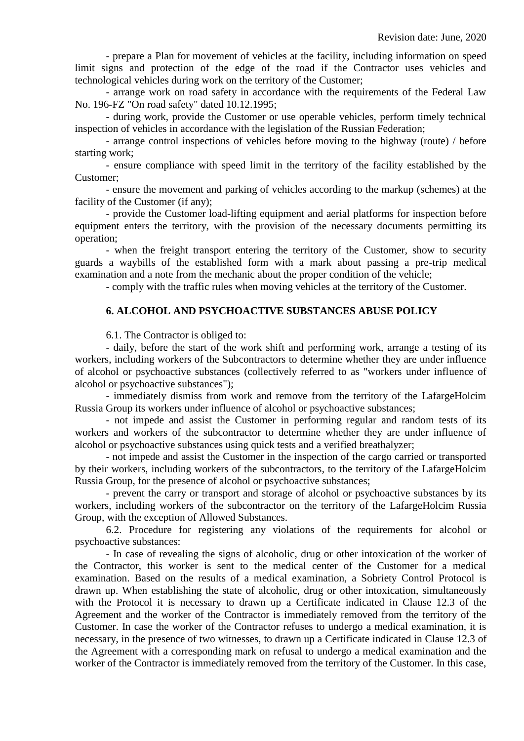- prepare a Plan for movement of vehicles at the facility, including information on speed limit signs and protection of the edge of the road if the Contractor uses vehicles and technological vehicles during work on the territory of the Customer;

- arrange work on road safety in accordance with the requirements of the Federal Law No. 196-FZ "On road safety" dated 10.12.1995;

- during work, provide the Customer or use operable vehicles, perform timely technical inspection of vehicles in accordance with the legislation of the Russian Federation;

- arrange control inspections of vehicles before moving to the highway (route) / before starting work;

- ensure compliance with speed limit in the territory of the facility established by the Customer;

- ensure the movement and parking of vehicles according to the markup (schemes) at the facility of the Customer (if any);

- provide the Customer load-lifting equipment and aerial platforms for inspection before equipment enters the territory, with the provision of the necessary documents permitting its operation;

- when the freight transport entering the territory of the Customer, show to security guards a waybills of the established form with a mark about passing a pre-trip medical examination and a note from the mechanic about the proper condition of the vehicle;

- comply with the traffic rules when moving vehicles at the territory of the Customer.

#### **6. ALCOHOL AND PSYCHOACTIVE SUBSTANCES ABUSE POLICY**

6.1. The Contractor is obliged to:

- daily, before the start of the work shift and performing work, arrange a testing of its workers, including workers of the Subcontractors to determine whether they are under influence of alcohol or psychoactive substances (collectively referred to as "workers under influence of alcohol or psychoactive substances");

- immediately dismiss from work and remove from the territory of the LafargeHolcim Russia Group its workers under influence of alcohol or psychoactive substances;

- not impede and assist the Customer in performing regular and random tests of its workers and workers of the subcontractor to determine whether they are under influence of alcohol or psychoactive substances using quick tests and a verified breathalyzer;

- not impede and assist the Customer in the inspection of the cargo carried or transported by their workers, including workers of the subcontractors, to the territory of the LafargeHolcim Russia Group, for the presence of alcohol or psychoactive substances;

- prevent the carry or transport and storage of alcohol or psychoactive substances by its workers, including workers of the subcontractor on the territory of the LafargeHolcim Russia Group, with the exception of Allowed Substances.

6.2. Procedure for registering any violations of the requirements for alcohol or psychoactive substances:

- In case of revealing the signs of alcoholic, drug or other intoxication of the worker of the Contractor, this worker is sent to the medical center of the Customer for a medical examination. Based on the results of a medical examination, a Sobriety Control Protocol is drawn up. When establishing the state of alcoholic, drug or other intoxication, simultaneously with the Protocol it is necessary to drawn up a Certificate indicated in Clause 12.3 of the Agreement and the worker of the Contractor is immediately removed from the territory of the Customer. In case the worker of the Contractor refuses to undergo a medical examination, it is necessary, in the presence of two witnesses, to drawn up a Certificate indicated in Clause 12.3 of the Agreement with a corresponding mark on refusal to undergo a medical examination and the worker of the Contractor is immediately removed from the territory of the Customer. In this case,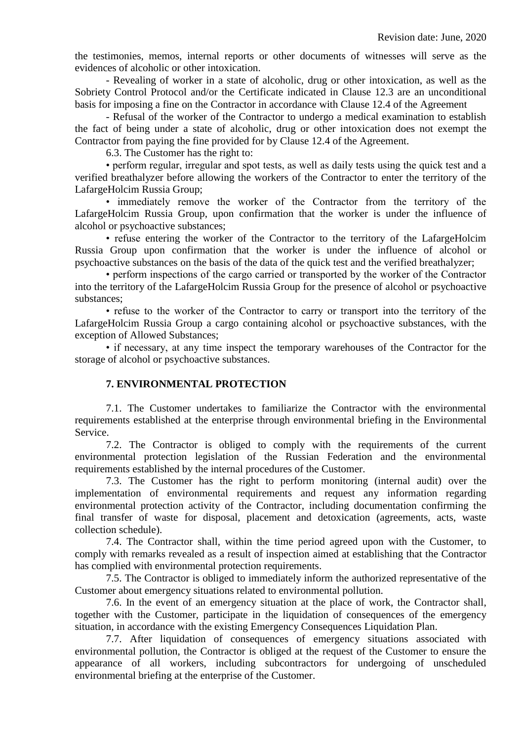the testimonies, memos, internal reports or other documents of witnesses will serve as the evidences of alcoholic or other intoxication.

- Revealing of worker in a state of alcoholic, drug or other intoxication, as well as the Sobriety Control Protocol and/or the Certificate indicated in Clause 12.3 are an unconditional basis for imposing a fine on the Contractor in accordance with Clause 12.4 of the Agreement

- Refusal of the worker of the Contractor to undergo a medical examination to establish the fact of being under a state of alcoholic, drug or other intoxication does not exempt the Contractor from paying the fine provided for by Clause 12.4 of the Agreement.

6.3. The Customer has the right to:

• perform regular, irregular and spot tests, as well as daily tests using the quick test and a verified breathalyzer before allowing the workers of the Contractor to enter the territory of the LafargeHolcim Russia Group;

• immediately remove the worker of the Contractor from the territory of the LafargeHolcim Russia Group, upon confirmation that the worker is under the influence of alcohol or psychoactive substances;

• refuse entering the worker of the Contractor to the territory of the LafargeHolcim Russia Group upon confirmation that the worker is under the influence of alcohol or psychoactive substances on the basis of the data of the quick test and the verified breathalyzer;

• perform inspections of the cargo carried or transported by the worker of the Contractor into the territory of the LafargeHolcim Russia Group for the presence of alcohol or psychoactive substances;

• refuse to the worker of the Contractor to carry or transport into the territory of the LafargeHolcim Russia Group a cargo containing alcohol or psychoactive substances, with the exception of Allowed Substances;

• if necessary, at any time inspect the temporary warehouses of the Contractor for the storage of alcohol or psychoactive substances.

#### **7. ENVIRONMENTAL PROTECTION**

7.1. The Customer undertakes to familiarize the Contractor with the environmental requirements established at the enterprise through environmental briefing in the Environmental Service.

7.2. The Contractor is obliged to comply with the requirements of the current environmental protection legislation of the Russian Federation and the environmental requirements established by the internal procedures of the Customer.

7.3. The Customer has the right to perform monitoring (internal audit) over the implementation of environmental requirements and request any information regarding environmental protection activity of the Contractor, including documentation confirming the final transfer of waste for disposal, placement and detoxication (agreements, acts, waste collection schedule).

7.4. The Contractor shall, within the time period agreed upon with the Customer, to comply with remarks revealed as a result of inspection aimed at establishing that the Contractor has complied with environmental protection requirements.

7.5. The Contractor is obliged to immediately inform the authorized representative of the Customer about emergency situations related to environmental pollution.

7.6. In the event of an emergency situation at the place of work, the Contractor shall, together with the Customer, participate in the liquidation of consequences of the emergency situation, in accordance with the existing Emergency Consequences Liquidation Plan.

7.7. After liquidation of consequences of emergency situations associated with environmental pollution, the Contractor is obliged at the request of the Customer to ensure the appearance of all workers, including subcontractors for undergoing of unscheduled environmental briefing at the enterprise of the Customer.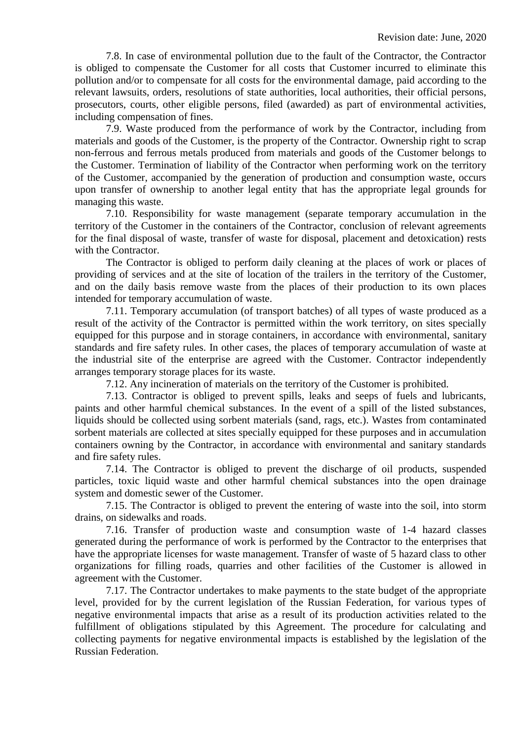7.8. In case of environmental pollution due to the fault of the Contractor, the Contractor is obliged to compensate the Customer for all costs that Customer incurred to eliminate this pollution and/or to compensate for all costs for the environmental damage, paid according to the relevant lawsuits, orders, resolutions of state authorities, local authorities, their official persons, prosecutors, courts, other eligible persons, filed (awarded) as part of environmental activities, including compensation of fines.

7.9. Waste produced from the performance of work by the Contractor, including from materials and goods of the Customer, is the property of the Contractor. Ownership right to scrap non-ferrous and ferrous metals produced from materials and goods of the Customer belongs to the Customer. Termination of liability of the Contractor when performing work on the territory of the Customer, accompanied by the generation of production and consumption waste, occurs upon transfer of ownership to another legal entity that has the appropriate legal grounds for managing this waste.

7.10. Responsibility for waste management (separate temporary accumulation in the territory of the Customer in the containers of the Contractor, conclusion of relevant agreements for the final disposal of waste, transfer of waste for disposal, placement and detoxication) rests with the Contractor.

The Contractor is obliged to perform daily cleaning at the places of work or places of providing of services and at the site of location of the trailers in the territory of the Customer, and on the daily basis remove waste from the places of their production to its own places intended for temporary accumulation of waste.

7.11. Temporary accumulation (of transport batches) of all types of waste produced as a result of the activity of the Contractor is permitted within the work territory, on sites specially equipped for this purpose and in storage containers, in accordance with environmental, sanitary standards and fire safety rules. In other cases, the places of temporary accumulation of waste at the industrial site of the enterprise are agreed with the Customer. Contractor independently arranges temporary storage places for its waste.

7.12. Any incineration of materials on the territory of the Customer is prohibited.

7.13. Contractor is obliged to prevent spills, leaks and seeps of fuels and lubricants, paints and other harmful chemical substances. In the event of a spill of the listed substances, liquids should be collected using sorbent materials (sand, rags, etc.). Wastes from contaminated sorbent materials are collected at sites specially equipped for these purposes and in accumulation containers owning by the Contractor, in accordance with environmental and sanitary standards and fire safety rules.

7.14. The Contractor is obliged to prevent the discharge of oil products, suspended particles, toxic liquid waste and other harmful chemical substances into the open drainage system and domestic sewer of the Customer.

7.15. The Contractor is obliged to prevent the entering of waste into the soil, into storm drains, on sidewalks and roads.

7.16. Transfer of production waste and consumption waste of 1-4 hazard classes generated during the performance of work is performed by the Contractor to the enterprises that have the appropriate licenses for waste management. Transfer of waste of 5 hazard class to other organizations for filling roads, quarries and other facilities of the Customer is allowed in agreement with the Customer.

7.17. The Contractor undertakes to make payments to the state budget of the appropriate level, provided for by the current legislation of the Russian Federation, for various types of negative environmental impacts that arise as a result of its production activities related to the fulfillment of obligations stipulated by this Agreement. The procedure for calculating and collecting payments for negative environmental impacts is established by the legislation of the Russian Federation.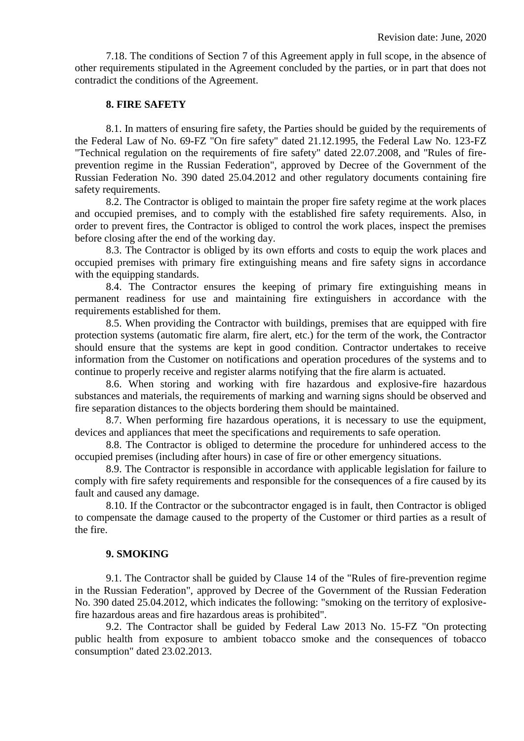7.18. The conditions of Section 7 of this Agreement apply in full scope, in the absence of other requirements stipulated in the Agreement concluded by the parties, or in part that does not contradict the conditions of the Agreement.

#### **8. FIRE SAFETY**

8.1. In matters of ensuring fire safety, the Parties should be guided by the requirements of the Federal Law of No. 69-FZ "On fire safety" dated 21.12.1995, the Federal Law No. 123-FZ "Technical regulation on the requirements of fire safety" dated 22.07.2008, and "Rules of fireprevention regime in the Russian Federation", approved by Decree of the Government of the Russian Federation No. 390 dated 25.04.2012 and other regulatory documents containing fire safety requirements.

8.2. The Contractor is obliged to maintain the proper fire safety regime at the work places and occupied premises, and to comply with the established fire safety requirements. Also, in order to prevent fires, the Contractor is obliged to control the work places, inspect the premises before closing after the end of the working day.

8.3. The Contractor is obliged by its own efforts and costs to equip the work places and occupied premises with primary fire extinguishing means and fire safety signs in accordance with the equipping standards.

8.4. The Contractor ensures the keeping of primary fire extinguishing means in permanent readiness for use and maintaining fire extinguishers in accordance with the requirements established for them.

8.5. When providing the Contractor with buildings, premises that are equipped with fire protection systems (automatic fire alarm, fire alert, etc.) for the term of the work, the Contractor should ensure that the systems are kept in good condition. Contractor undertakes to receive information from the Customer on notifications and operation procedures of the systems and to continue to properly receive and register alarms notifying that the fire alarm is actuated.

8.6. When storing and working with fire hazardous and explosive-fire hazardous substances and materials, the requirements of marking and warning signs should be observed and fire separation distances to the objects bordering them should be maintained.

8.7. When performing fire hazardous operations, it is necessary to use the equipment, devices and appliances that meet the specifications and requirements to safe operation.

8.8. The Contractor is obliged to determine the procedure for unhindered access to the occupied premises (including after hours) in case of fire or other emergency situations.

8.9. The Contractor is responsible in accordance with applicable legislation for failure to comply with fire safety requirements and responsible for the consequences of a fire caused by its fault and caused any damage.

8.10. If the Contractor or the subcontractor engaged is in fault, then Contractor is obliged to compensate the damage caused to the property of the Customer or third parties as a result of the fire.

#### **9. SMOKING**

9.1. The Contractor shall be guided by Clause 14 of the "Rules of fire-prevention regime in the Russian Federation", approved by Decree of the Government of the Russian Federation No. 390 dated 25.04.2012, which indicates the following: "smoking on the territory of explosivefire hazardous areas and fire hazardous areas is prohibited".

9.2. The Contractor shall be guided by Federal Law 2013 No. 15-FZ "On protecting public health from exposure to ambient tobacco smoke and the consequences of tobacco consumption" dated 23.02.2013.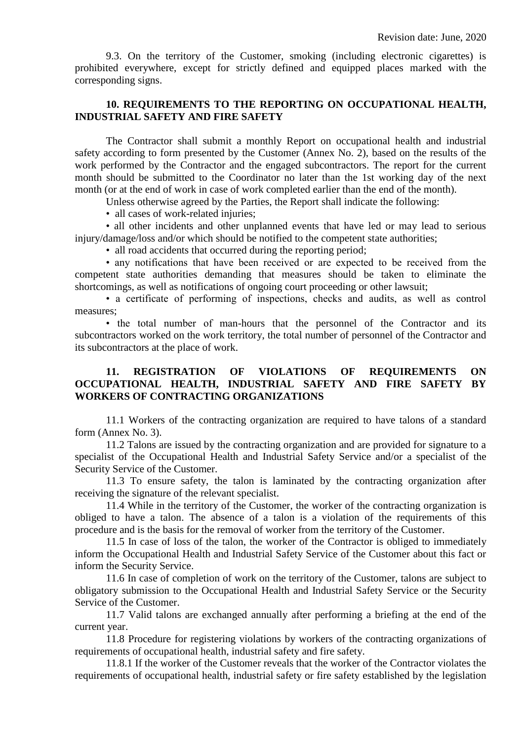9.3. On the territory of the Customer, smoking (including electronic cigarettes) is prohibited everywhere, except for strictly defined and equipped places marked with the corresponding signs.

## **10. REQUIREMENTS TO THE REPORTING ON OCCUPATIONAL HEALTH, INDUSTRIAL SAFETY AND FIRE SAFETY**

The Contractor shall submit a monthly Report on occupational health and industrial safety according to form presented by the Customer (Annex No. 2), based on the results of the work performed by the Contractor and the engaged subcontractors. The report for the current month should be submitted to the Coordinator no later than the 1st working day of the next month (or at the end of work in case of work completed earlier than the end of the month).

Unless otherwise agreed by the Parties, the Report shall indicate the following:

• all cases of work-related injuries;

• all other incidents and other unplanned events that have led or may lead to serious injury/damage/loss and/or which should be notified to the competent state authorities;

• all road accidents that occurred during the reporting period;

• any notifications that have been received or are expected to be received from the competent state authorities demanding that measures should be taken to eliminate the shortcomings, as well as notifications of ongoing court proceeding or other lawsuit;

• a certificate of performing of inspections, checks and audits, as well as control measures;

• the total number of man-hours that the personnel of the Contractor and its subcontractors worked on the work territory, the total number of personnel of the Contractor and its subcontractors at the place of work.

## **11. REGISTRATION OF VIOLATIONS OF REQUIREMENTS ON OCCUPATIONAL HEALTH, INDUSTRIAL SAFETY AND FIRE SAFETY BY WORKERS OF CONTRACTING ORGANIZATIONS**

11.1 Workers of the contracting organization are required to have talons of a standard form (Annex No. 3).

11.2 Talons are issued by the contracting organization and are provided for signature to a specialist of the Occupational Health and Industrial Safety Service and/or a specialist of the Security Service of the Customer.

11.3 To ensure safety, the talon is laminated by the contracting organization after receiving the signature of the relevant specialist.

11.4 While in the territory of the Customer, the worker of the contracting organization is obliged to have a talon. The absence of a talon is a violation of the requirements of this procedure and is the basis for the removal of worker from the territory of the Customer.

11.5 In case of loss of the talon, the worker of the Contractor is obliged to immediately inform the Occupational Health and Industrial Safety Service of the Customer about this fact or inform the Security Service.

11.6 In case of completion of work on the territory of the Customer, talons are subject to obligatory submission to the Occupational Health and Industrial Safety Service or the Security Service of the Customer.

11.7 Valid talons are exchanged annually after performing a briefing at the end of the current year.

11.8 Procedure for registering violations by workers of the contracting organizations of requirements of occupational health, industrial safety and fire safety.

11.8.1 If the worker of the Customer reveals that the worker of the Contractor violates the requirements of occupational health, industrial safety or fire safety established by the legislation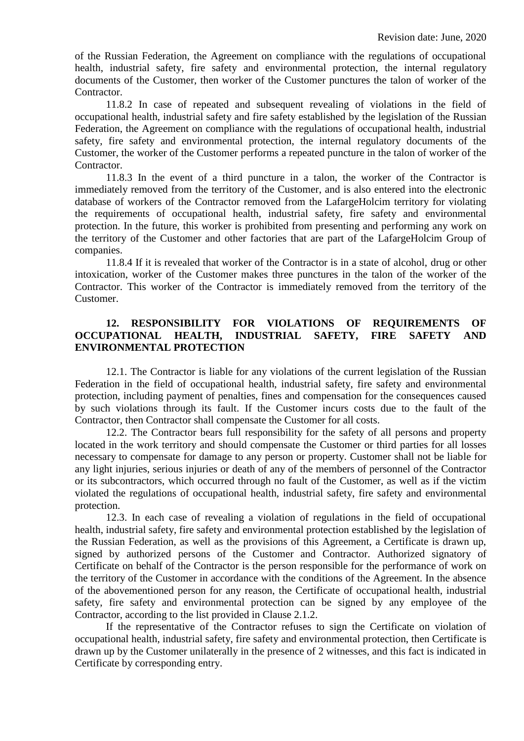of the Russian Federation, the Agreement on compliance with the regulations of occupational health, industrial safety, fire safety and environmental protection, the internal regulatory documents of the Customer, then worker of the Customer punctures the talon of worker of the Contractor.

11.8.2 In case of repeated and subsequent revealing of violations in the field of occupational health, industrial safety and fire safety established by the legislation of the Russian Federation, the Agreement on compliance with the regulations of occupational health, industrial safety, fire safety and environmental protection, the internal regulatory documents of the Customer, the worker of the Customer performs a repeated puncture in the talon of worker of the Contractor.

11.8.3 In the event of a third puncture in a talon, the worker of the Contractor is immediately removed from the territory of the Customer, and is also entered into the electronic database of workers of the Contractor removed from the LafargeHolcim territory for violating the requirements of occupational health, industrial safety, fire safety and environmental protection. In the future, this worker is prohibited from presenting and performing any work on the territory of the Customer and other factories that are part of the LafargeHolcim Group of companies.

11.8.4 If it is revealed that worker of the Contractor is in a state of alcohol, drug or other intoxication, worker of the Customer makes three punctures in the talon of the worker of the Contractor. This worker of the Contractor is immediately removed from the territory of the Customer.

## **12. RESPONSIBILITY FOR VIOLATIONS OF REQUIREMENTS OF OCCUPATIONAL HEALTH, INDUSTRIAL SAFETY, FIRE SAFETY AND ENVIRONMENTAL PROTECTION**

12.1. The Contractor is liable for any violations of the current legislation of the Russian Federation in the field of occupational health, industrial safety, fire safety and environmental protection, including payment of penalties, fines and compensation for the consequences caused by such violations through its fault. If the Customer incurs costs due to the fault of the Contractor, then Contractor shall compensate the Customer for all costs.

12.2. The Contractor bears full responsibility for the safety of all persons and property located in the work territory and should compensate the Customer or third parties for all losses necessary to compensate for damage to any person or property. Customer shall not be liable for any light injuries, serious injuries or death of any of the members of personnel of the Contractor or its subcontractors, which occurred through no fault of the Customer, as well as if the victim violated the regulations of occupational health, industrial safety, fire safety and environmental protection.

12.3. In each case of revealing a violation of regulations in the field of occupational health, industrial safety, fire safety and environmental protection established by the legislation of the Russian Federation, as well as the provisions of this Agreement, a Certificate is drawn up, signed by authorized persons of the Customer and Contractor. Authorized signatory of Certificate on behalf of the Contractor is the person responsible for the performance of work on the territory of the Customer in accordance with the conditions of the Agreement. In the absence of the abovementioned person for any reason, the Certificate of occupational health, industrial safety, fire safety and environmental protection can be signed by any employee of the Contractor, according to the list provided in Clause 2.1.2.

If the representative of the Contractor refuses to sign the Certificate on violation of occupational health, industrial safety, fire safety and environmental protection, then Certificate is drawn up by the Customer unilaterally in the presence of 2 witnesses, and this fact is indicated in Certificate by corresponding entry.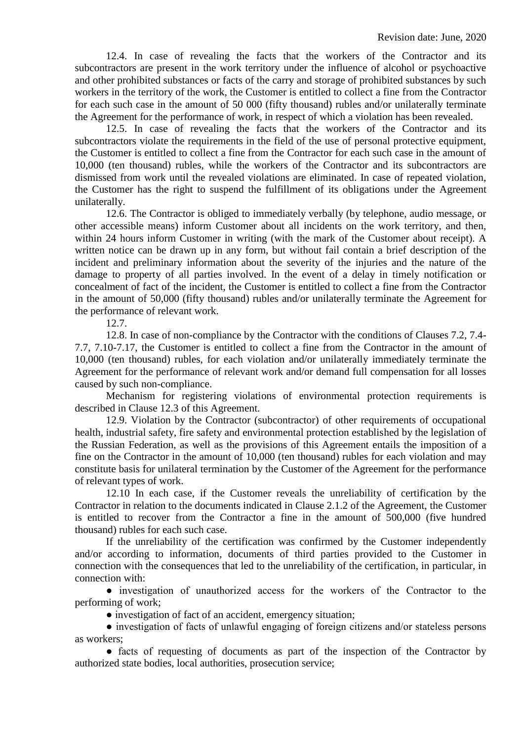12.4. In case of revealing the facts that the workers of the Contractor and its subcontractors are present in the work territory under the influence of alcohol or psychoactive and other prohibited substances or facts of the carry and storage of prohibited substances by such workers in the territory of the work, the Customer is entitled to collect a fine from the Contractor for each such case in the amount of 50 000 (fifty thousand) rubles and/or unilaterally terminate the Agreement for the performance of work, in respect of which a violation has been revealed.

12.5. In case of revealing the facts that the workers of the Contractor and its subcontractors violate the requirements in the field of the use of personal protective equipment, the Customer is entitled to collect a fine from the Contractor for each such case in the amount of 10,000 (ten thousand) rubles, while the workers of the Contractor and its subcontractors are dismissed from work until the revealed violations are eliminated. In case of repeated violation, the Customer has the right to suspend the fulfillment of its obligations under the Agreement unilaterally.

12.6. The Contractor is obliged to immediately verbally (by telephone, audio message, or other accessible means) inform Customer about all incidents on the work territory, and then, within 24 hours inform Customer in writing (with the mark of the Customer about receipt). A written notice can be drawn up in any form, but without fail contain a brief description of the incident and preliminary information about the severity of the injuries and the nature of the damage to property of all parties involved. In the event of a delay in timely notification or concealment of fact of the incident, the Customer is entitled to collect a fine from the Contractor in the amount of 50,000 (fifty thousand) rubles and/or unilaterally terminate the Agreement for the performance of relevant work.

12.7.

12.8. In case of non-compliance by the Contractor with the conditions of Clauses 7.2, 7.4- 7.7, 7.10-7.17, the Customer is entitled to collect a fine from the Contractor in the amount of 10,000 (ten thousand) rubles, for each violation and/or unilaterally immediately terminate the Agreement for the performance of relevant work and/or demand full compensation for all losses caused by such non-compliance.

Mechanism for registering violations of environmental protection requirements is described in Clause 12.3 of this Agreement.

12.9. Violation by the Contractor (subcontractor) of other requirements of occupational health, industrial safety, fire safety and environmental protection established by the legislation of the Russian Federation, as well as the provisions of this Agreement entails the imposition of a fine on the Contractor in the amount of 10,000 (ten thousand) rubles for each violation and may constitute basis for unilateral termination by the Customer of the Agreement for the performance of relevant types of work.

12.10 In each case, if the Customer reveals the unreliability of certification by the Contractor in relation to the documents indicated in Clause 2.1.2 of the Agreement, the Customer is entitled to recover from the Contractor a fine in the amount of 500,000 (five hundred thousand) rubles for each such case.

If the unreliability of the certification was confirmed by the Customer independently and/or according to information, documents of third parties provided to the Customer in connection with the consequences that led to the unreliability of the certification, in particular, in connection with:

● investigation of unauthorized access for the workers of the Contractor to the performing of work;

• investigation of fact of an accident, emergency situation;

● investigation of facts of unlawful engaging of foreign citizens and/or stateless persons as workers;

• facts of requesting of documents as part of the inspection of the Contractor by authorized state bodies, local authorities, prosecution service;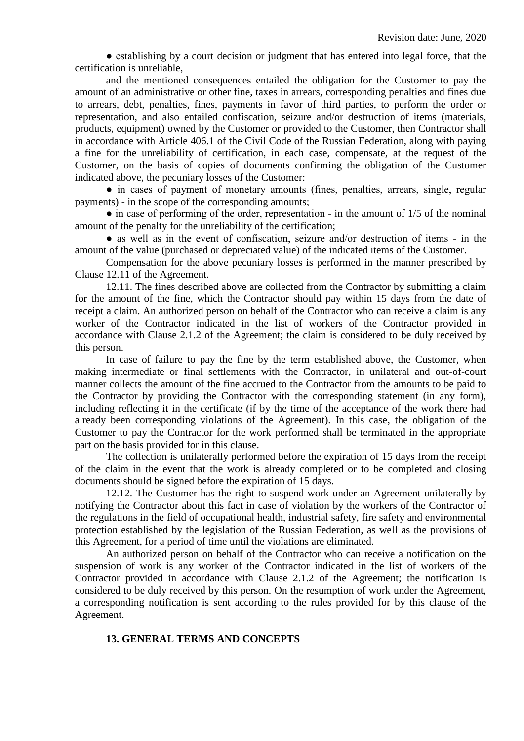• establishing by a court decision or judgment that has entered into legal force, that the certification is unreliable,

and the mentioned consequences entailed the obligation for the Customer to pay the amount of an administrative or other fine, taxes in arrears, corresponding penalties and fines due to arrears, debt, penalties, fines, payments in favor of third parties, to perform the order or representation, and also entailed confiscation, seizure and/or destruction of items (materials, products, equipment) owned by the Customer or provided to the Customer, then Contractor shall in accordance with Article 406.1 of the Civil Code of the Russian Federation, along with paying a fine for the unreliability of certification, in each case, compensate, at the request of the Customer, on the basis of copies of documents confirming the obligation of the Customer indicated above, the pecuniary losses of the Customer:

• in cases of payment of monetary amounts (fines, penalties, arrears, single, regular payments) - in the scope of the corresponding amounts;

 $\bullet$  in case of performing of the order, representation - in the amount of 1/5 of the nominal amount of the penalty for the unreliability of the certification;

• as well as in the event of confiscation, seizure and/or destruction of items - in the amount of the value (purchased or depreciated value) of the indicated items of the Customer.

Compensation for the above pecuniary losses is performed in the manner prescribed by Clause 12.11 of the Agreement.

12.11. The fines described above are collected from the Contractor by submitting a claim for the amount of the fine, which the Contractor should pay within 15 days from the date of receipt a claim. An authorized person on behalf of the Contractor who can receive a claim is any worker of the Contractor indicated in the list of workers of the Contractor provided in accordance with Clause 2.1.2 of the Agreement; the claim is considered to be duly received by this person.

In case of failure to pay the fine by the term established above, the Customer, when making intermediate or final settlements with the Contractor, in unilateral and out-of-court manner collects the amount of the fine accrued to the Contractor from the amounts to be paid to the Contractor by providing the Contractor with the corresponding statement (in any form), including reflecting it in the certificate (if by the time of the acceptance of the work there had already been corresponding violations of the Agreement). In this case, the obligation of the Customer to pay the Contractor for the work performed shall be terminated in the appropriate part on the basis provided for in this clause.

The collection is unilaterally performed before the expiration of 15 days from the receipt of the claim in the event that the work is already completed or to be completed and closing documents should be signed before the expiration of 15 days.

12.12. The Customer has the right to suspend work under an Agreement unilaterally by notifying the Contractor about this fact in case of violation by the workers of the Contractor of the regulations in the field of occupational health, industrial safety, fire safety and environmental protection established by the legislation of the Russian Federation, as well as the provisions of this Agreement, for a period of time until the violations are eliminated.

An authorized person on behalf of the Contractor who can receive a notification on the suspension of work is any worker of the Contractor indicated in the list of workers of the Contractor provided in accordance with Clause 2.1.2 of the Agreement; the notification is considered to be duly received by this person. On the resumption of work under the Agreement, a corresponding notification is sent according to the rules provided for by this clause of the Agreement.

#### **13. GENERAL TERMS AND CONCEPTS**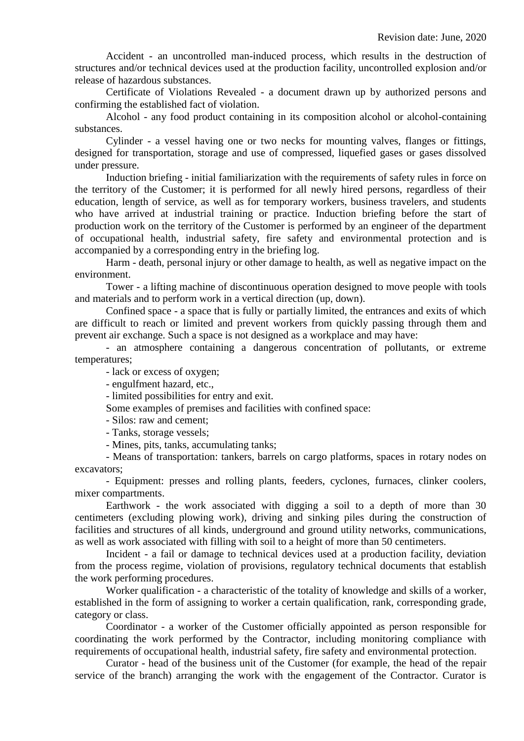Accident - an uncontrolled man-induced process, which results in the destruction of structures and/or technical devices used at the production facility, uncontrolled explosion and/or release of hazardous substances.

Certificate of Violations Revealed - a document drawn up by authorized persons and confirming the established fact of violation.

Alcohol - any food product containing in its composition alcohol or alcohol-containing substances.

Cylinder - a vessel having one or two necks for mounting valves, flanges or fittings, designed for transportation, storage and use of compressed, liquefied gases or gases dissolved under pressure.

Induction briefing - initial familiarization with the requirements of safety rules in force on the territory of the Customer; it is performed for all newly hired persons, regardless of their education, length of service, as well as for temporary workers, business travelers, and students who have arrived at industrial training or practice. Induction briefing before the start of production work on the territory of the Customer is performed by an engineer of the department of occupational health, industrial safety, fire safety and environmental protection and is accompanied by a corresponding entry in the briefing log.

Harm - death, personal injury or other damage to health, as well as negative impact on the environment.

Tower - a lifting machine of discontinuous operation designed to move people with tools and materials and to perform work in a vertical direction (up, down).

Confined space - a space that is fully or partially limited, the entrances and exits of which are difficult to reach or limited and prevent workers from quickly passing through them and prevent air exchange. Such a space is not designed as a workplace and may have:

- an atmosphere containing a dangerous concentration of pollutants, or extreme temperatures;

- lack or excess of oxygen;

- engulfment hazard, etc.,

- limited possibilities for entry and exit.

Some examples of premises and facilities with confined space:

- Silos: raw and cement;

- Tanks, storage vessels;

- Mines, pits, tanks, accumulating tanks;

- Means of transportation: tankers, barrels on cargo platforms, spaces in rotary nodes on excavators;

- Equipment: presses and rolling plants, feeders, cyclones, furnaces, clinker coolers, mixer compartments.

Earthwork - the work associated with digging a soil to a depth of more than 30 centimeters (excluding plowing work), driving and sinking piles during the construction of facilities and structures of all kinds, underground and ground utility networks, communications, as well as work associated with filling with soil to a height of more than 50 centimeters.

Incident - a fail or damage to technical devices used at a production facility, deviation from the process regime, violation of provisions, regulatory technical documents that establish the work performing procedures.

Worker qualification - a characteristic of the totality of knowledge and skills of a worker, established in the form of assigning to worker a certain qualification, rank, corresponding grade, category or class.

Coordinator - a worker of the Customer officially appointed as person responsible for coordinating the work performed by the Contractor, including monitoring compliance with requirements of occupational health, industrial safety, fire safety and environmental protection.

Curator - head of the business unit of the Customer (for example, the head of the repair service of the branch) arranging the work with the engagement of the Contractor. Curator is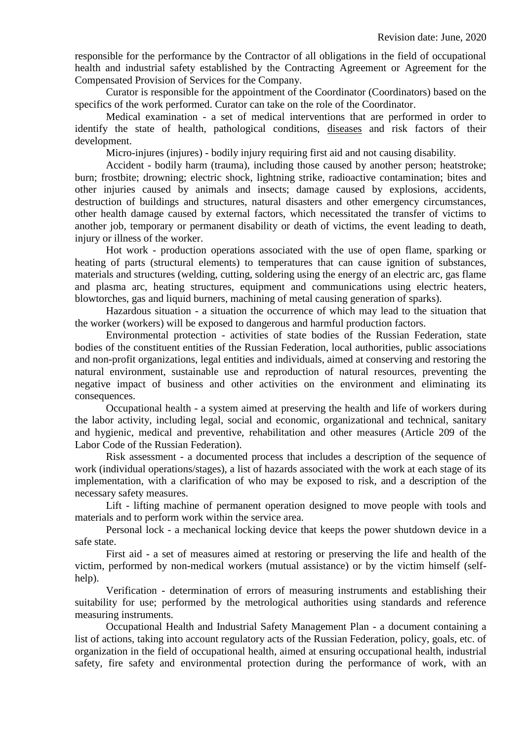responsible for the performance by the Contractor of all obligations in the field of occupational health and industrial safety established by the Contracting Agreement or Agreement for the Compensated Provision of Services for the Company.

Curator is responsible for the appointment of the Coordinator (Coordinators) based on the specifics of the work performed. Curator can take on the role of the Coordinator.

Medical examination - a set of medical interventions that are performed in order to identify the state of health, pathological conditions, diseases and risk factors of their development.

Micro-injures (injures) - bodily injury requiring first aid and not causing disability.

Accident - bodily harm (trauma), including those caused by another person; heatstroke; burn; frostbite; drowning; electric shock, lightning strike, radioactive contamination; bites and other injuries caused by animals and insects; damage caused by explosions, accidents, destruction of buildings and structures, natural disasters and other emergency circumstances, other health damage caused by external factors, which necessitated the transfer of victims to another job, temporary or permanent disability or death of victims, the event leading to death, injury or illness of the worker.

Hot work - production operations associated with the use of open flame, sparking or heating of parts (structural elements) to temperatures that can cause ignition of substances, materials and structures (welding, cutting, soldering using the energy of an electric arc, gas flame and plasma arc, heating structures, equipment and communications using electric heaters, blowtorches, gas and liquid burners, machining of metal causing generation of sparks).

Hazardous situation - a situation the occurrence of which may lead to the situation that the worker (workers) will be exposed to dangerous and harmful production factors.

Environmental protection - activities of state bodies of the Russian Federation, state bodies of the constituent entities of the Russian Federation, local authorities, public associations and non-profit organizations, legal entities and individuals, aimed at conserving and restoring the natural environment, sustainable use and reproduction of natural resources, preventing the negative impact of business and other activities on the environment and eliminating its consequences.

Occupational health - a system aimed at preserving the health and life of workers during the labor activity, including legal, social and economic, organizational and technical, sanitary and hygienic, medical and preventive, rehabilitation and other measures (Article 209 of the Labor Code of the Russian Federation).

Risk assessment - a documented process that includes a description of the sequence of work (individual operations/stages), a list of hazards associated with the work at each stage of its implementation, with a clarification of who may be exposed to risk, and a description of the necessary safety measures.

Lift - lifting machine of permanent operation designed to move people with tools and materials and to perform work within the service area.

Personal lock - a mechanical locking device that keeps the power shutdown device in a safe state.

First aid - a set of measures aimed at restoring or preserving the life and health of the victim, performed by non-medical workers (mutual assistance) or by the victim himself (selfhelp).

Verification - determination of errors of measuring instruments and establishing their suitability for use; performed by the metrological authorities using standards and reference measuring instruments.

Occupational Health and Industrial Safety Management Plan - a document containing a list of actions, taking into account regulatory acts of the Russian Federation, policy, goals, etc. of organization in the field of occupational health, aimed at ensuring occupational health, industrial safety, fire safety and environmental protection during the performance of work, with an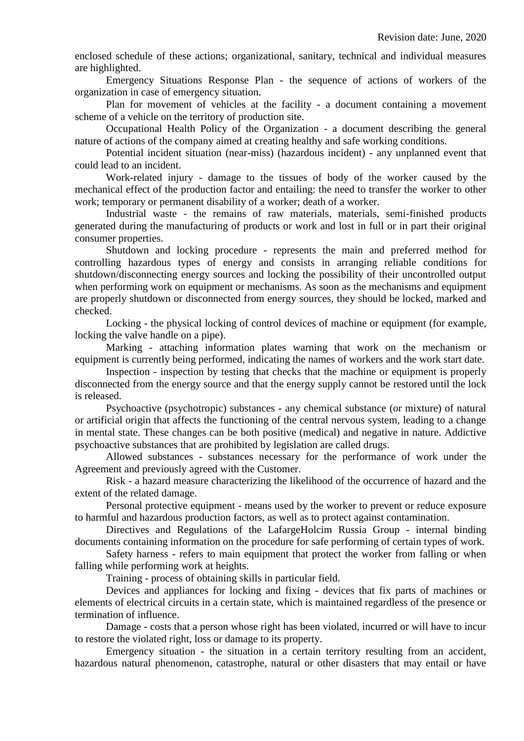enclosed schedule of these actions; organizational, sanitary, technical and individual measures are highlighted.

Emergency Situations Response Plan - the sequence of actions of workers of the organization in case of emergency situation.

Plan for movement of vehicles at the facility - a document containing a movement scheme of a vehicle on the territory of production site.

Occupational Health Policy of the Organization - a document describing the general nature of actions of the company aimed at creating healthy and safe working conditions.

Potential incident situation (near-miss) (hazardous incident) - any unplanned event that could lead to an incident.

Work-related injury - damage to the tissues of body of the worker caused by the mechanical effect of the production factor and entailing: the need to transfer the worker to other work; temporary or permanent disability of a worker; death of a worker.

Industrial waste - the remains of raw materials, materials, semi-finished products generated during the manufacturing of products or work and lost in full or in part their original consumer properties.

Shutdown and locking procedure - represents the main and preferred method for controlling hazardous types of energy and consists in arranging reliable conditions for shutdown/disconnecting energy sources and locking the possibility of their uncontrolled output when performing work on equipment or mechanisms. As soon as the mechanisms and equipment are properly shutdown or disconnected from energy sources, they should be locked, marked and checked.

Locking - the physical locking of control devices of machine or equipment (for example, locking the valve handle on a pipe).

Marking - attaching information plates warning that work on the mechanism or equipment is currently being performed, indicating the names of workers and the work start date.

Inspection - inspection by testing that checks that the machine or equipment is properly disconnected from the energy source and that the energy supply cannot be restored until the lock is released.

Psychoactive (psychotropic) substances - any chemical substance (or mixture) of natural or artificial origin that affects the functioning of the central nervous system, leading to a change in mental state. These changes can be both positive (medical) and negative in nature. Addictive psychoactive substances that are prohibited by legislation are called drugs.

Allowed substances - substances necessary for the performance of work under the Agreement and previously agreed with the Customer.

Risk - a hazard measure characterizing the likelihood of the occurrence of hazard and the extent of the related damage.

Personal protective equipment - means used by the worker to prevent or reduce exposure to harmful and hazardous production factors, as well as to protect against contamination.

Directives and Regulations of the LafargeHolcim Russia Group - internal binding documents containing information on the procedure for safe performing of certain types of work.

Safety harness - refers to main equipment that protect the worker from falling or when falling while performing work at heights.

Training - process of obtaining skills in particular field.

Devices and appliances for locking and fixing - devices that fix parts of machines or elements of electrical circuits in a certain state, which is maintained regardless of the presence or termination of influence.

Damage - costs that a person whose right has been violated, incurred or will have to incur to restore the violated right, loss or damage to its property.

Emergency situation - the situation in a certain territory resulting from an accident, hazardous natural phenomenon, catastrophe, natural or other disasters that may entail or have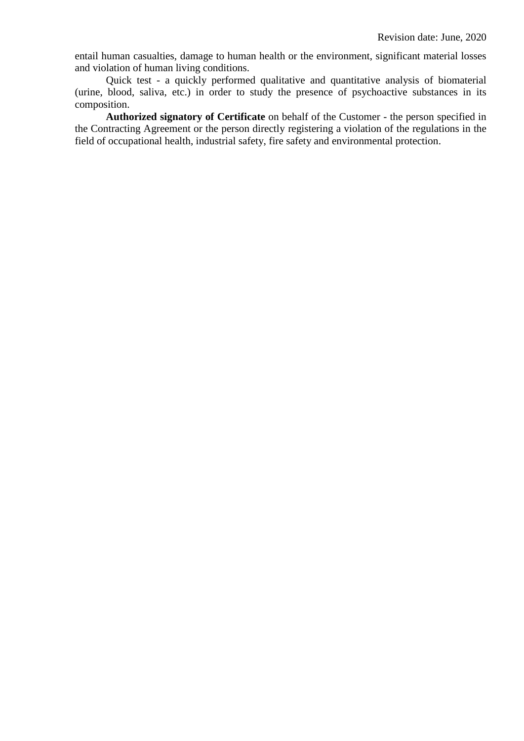entail human casualties, damage to human health or the environment, significant material losses and violation of human living conditions.

Quick test - a quickly performed qualitative and quantitative analysis of biomaterial (urine, blood, saliva, etc.) in order to study the presence of psychoactive substances in its composition.

**Authorized signatory of Certificate** on behalf of the Customer - the person specified in the Contracting Agreement or the person directly registering a violation of the regulations in the field of occupational health, industrial safety, fire safety and environmental protection.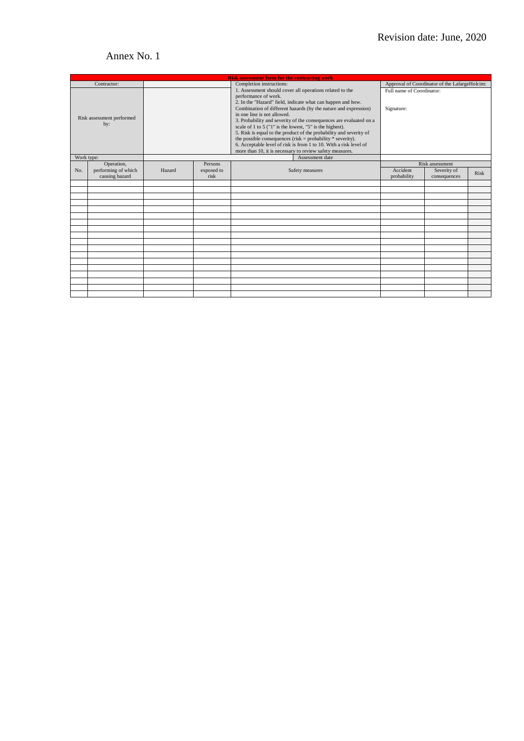# Annex No. 1

| <b>Risk assessment form for the contracting work</b> |                                       |        |                    |                                                                                                                                                                                                                                                                                                                                                                                                                                                                                                                                                                                                |                                               |                             |      |  |  |  |  |
|------------------------------------------------------|---------------------------------------|--------|--------------------|------------------------------------------------------------------------------------------------------------------------------------------------------------------------------------------------------------------------------------------------------------------------------------------------------------------------------------------------------------------------------------------------------------------------------------------------------------------------------------------------------------------------------------------------------------------------------------------------|-----------------------------------------------|-----------------------------|------|--|--|--|--|
| Contractor:                                          |                                       |        |                    | Completion instructions:                                                                                                                                                                                                                                                                                                                                                                                                                                                                                                                                                                       | Approval of Coordinator of the LafargeHolcim: |                             |      |  |  |  |  |
| Risk assessment performed<br>by:                     |                                       |        |                    | 1. Assessment should cover all operations related to the<br>performance of work.<br>2. In the "Hazard" field, indicate what can happen and how.<br>Combination of different hazards (by the nature and expression)<br>in one line is not allowed.<br>3. Probability and severity of the consequences are evaluated on a<br>scale of 1 to 5 ("1" is the lowest, "5" is the highest).<br>5. Risk is equal to the product of the probability and severity of<br>the possible consequences (risk = probability $*$ severity).<br>6. Acceptable level of risk is from 1 to 10. With a risk level of | Full name of Coordinator:<br>Signature:       |                             |      |  |  |  |  |
|                                                      |                                       |        |                    | more than 10, it is necessary to review safety measures.                                                                                                                                                                                                                                                                                                                                                                                                                                                                                                                                       |                                               |                             |      |  |  |  |  |
| Work type:                                           |                                       |        |                    | Assessment date                                                                                                                                                                                                                                                                                                                                                                                                                                                                                                                                                                                |                                               |                             |      |  |  |  |  |
|                                                      | Operation,                            |        | <b>Persons</b>     |                                                                                                                                                                                                                                                                                                                                                                                                                                                                                                                                                                                                | Risk assessment                               |                             |      |  |  |  |  |
| No.                                                  | performing of which<br>causing hazard | Hazard | exposed to<br>risk | Safety measures                                                                                                                                                                                                                                                                                                                                                                                                                                                                                                                                                                                | Accident<br>probability                       | Severity of<br>consequences | Risk |  |  |  |  |
|                                                      |                                       |        |                    |                                                                                                                                                                                                                                                                                                                                                                                                                                                                                                                                                                                                |                                               |                             |      |  |  |  |  |
|                                                      |                                       |        |                    |                                                                                                                                                                                                                                                                                                                                                                                                                                                                                                                                                                                                |                                               |                             |      |  |  |  |  |
|                                                      |                                       |        |                    |                                                                                                                                                                                                                                                                                                                                                                                                                                                                                                                                                                                                |                                               |                             |      |  |  |  |  |
|                                                      |                                       |        |                    |                                                                                                                                                                                                                                                                                                                                                                                                                                                                                                                                                                                                |                                               |                             |      |  |  |  |  |
|                                                      |                                       |        |                    |                                                                                                                                                                                                                                                                                                                                                                                                                                                                                                                                                                                                |                                               |                             |      |  |  |  |  |
|                                                      |                                       |        |                    |                                                                                                                                                                                                                                                                                                                                                                                                                                                                                                                                                                                                |                                               |                             |      |  |  |  |  |
|                                                      |                                       |        |                    |                                                                                                                                                                                                                                                                                                                                                                                                                                                                                                                                                                                                |                                               |                             |      |  |  |  |  |
|                                                      |                                       |        |                    |                                                                                                                                                                                                                                                                                                                                                                                                                                                                                                                                                                                                |                                               |                             |      |  |  |  |  |
|                                                      |                                       |        |                    |                                                                                                                                                                                                                                                                                                                                                                                                                                                                                                                                                                                                |                                               |                             |      |  |  |  |  |
|                                                      |                                       |        |                    |                                                                                                                                                                                                                                                                                                                                                                                                                                                                                                                                                                                                |                                               |                             |      |  |  |  |  |
|                                                      |                                       |        |                    |                                                                                                                                                                                                                                                                                                                                                                                                                                                                                                                                                                                                |                                               |                             |      |  |  |  |  |
|                                                      |                                       |        |                    |                                                                                                                                                                                                                                                                                                                                                                                                                                                                                                                                                                                                |                                               |                             |      |  |  |  |  |
|                                                      |                                       |        |                    |                                                                                                                                                                                                                                                                                                                                                                                                                                                                                                                                                                                                |                                               |                             |      |  |  |  |  |
|                                                      |                                       |        |                    |                                                                                                                                                                                                                                                                                                                                                                                                                                                                                                                                                                                                |                                               |                             |      |  |  |  |  |
|                                                      |                                       |        |                    |                                                                                                                                                                                                                                                                                                                                                                                                                                                                                                                                                                                                |                                               |                             |      |  |  |  |  |
|                                                      |                                       |        |                    |                                                                                                                                                                                                                                                                                                                                                                                                                                                                                                                                                                                                |                                               |                             |      |  |  |  |  |
|                                                      |                                       |        |                    |                                                                                                                                                                                                                                                                                                                                                                                                                                                                                                                                                                                                |                                               |                             |      |  |  |  |  |
|                                                      |                                       |        |                    |                                                                                                                                                                                                                                                                                                                                                                                                                                                                                                                                                                                                |                                               |                             |      |  |  |  |  |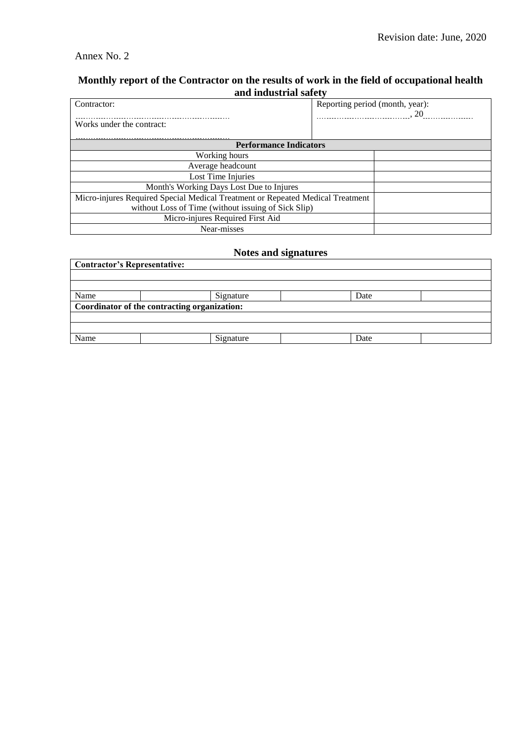## Annex No. 2

# **Monthly report of the Contractor on the results of work in the field of occupational health and industrial safety**

| Contractor:                                                                    | Reporting period (month, year): |  |  |  |  |  |  |
|--------------------------------------------------------------------------------|---------------------------------|--|--|--|--|--|--|
| Works under the contract:                                                      |                                 |  |  |  |  |  |  |
| <b>Performance Indicators</b>                                                  |                                 |  |  |  |  |  |  |
| Working hours                                                                  |                                 |  |  |  |  |  |  |
| Average headcount                                                              |                                 |  |  |  |  |  |  |
| Lost Time Injuries                                                             |                                 |  |  |  |  |  |  |
| Month's Working Days Lost Due to Injures                                       |                                 |  |  |  |  |  |  |
| Micro-injures Required Special Medical Treatment or Repeated Medical Treatment |                                 |  |  |  |  |  |  |
| without Loss of Time (without issuing of Sick Slip)                            |                                 |  |  |  |  |  |  |
| Micro-injures Required First Aid                                               |                                 |  |  |  |  |  |  |
| Near-misses                                                                    |                                 |  |  |  |  |  |  |

## **Notes and signatures**

| <b>Contractor's Representative:</b>          |           |      |  |  |  |  |  |  |  |
|----------------------------------------------|-----------|------|--|--|--|--|--|--|--|
|                                              |           |      |  |  |  |  |  |  |  |
|                                              |           |      |  |  |  |  |  |  |  |
| Name                                         | Signature | Date |  |  |  |  |  |  |  |
| Coordinator of the contracting organization: |           |      |  |  |  |  |  |  |  |
|                                              |           |      |  |  |  |  |  |  |  |
|                                              |           |      |  |  |  |  |  |  |  |
| Name                                         | Signature | Date |  |  |  |  |  |  |  |